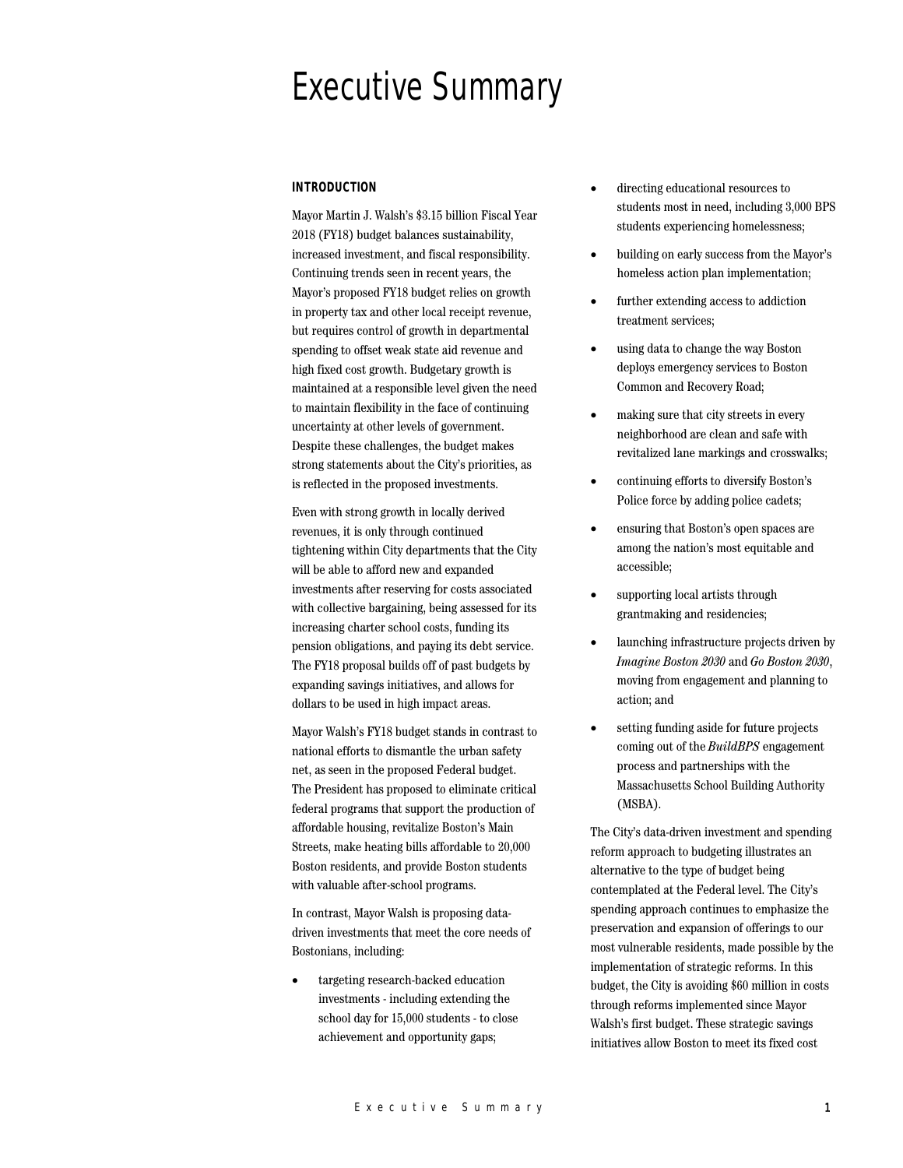# Executive Summary

# **INTRODUCTION**

Mayor Martin J. Walsh's \$3.15 billion Fiscal Year 2018 (FY18) budget balances sustainability, increased investment, and fiscal responsibility. Continuing trends seen in recent years, the Mayor's proposed FY18 budget relies on growth in property tax and other local receipt revenue, but requires control of growth in departmental spending to offset weak state aid revenue and high fixed cost growth. Budgetary growth is maintained at a responsible level given the need to maintain flexibility in the face of continuing uncertainty at other levels of government. Despite these challenges, the budget makes strong statements about the City's priorities, as is reflected in the proposed investments.

Even with strong growth in locally derived revenues, it is only through continued tightening within City departments that the City will be able to afford new and expanded investments after reserving for costs associated with collective bargaining, being assessed for its increasing charter school costs, funding its pension obligations, and paying its debt service. The FY18 proposal builds off of past budgets by expanding savings initiatives, and allows for dollars to be used in high impact areas.

Mayor Walsh's FY18 budget stands in contrast to national efforts to dismantle the urban safety net, as seen in the proposed Federal budget. The President has proposed to eliminate critical federal programs that support the production of affordable housing, revitalize Boston's Main Streets, make heating bills affordable to 20,000 Boston residents, and provide Boston students with valuable after-school programs.

In contrast, Mayor Walsh is proposing datadriven investments that meet the core needs of Bostonians, including:

• targeting research-backed education investments - including extending the school day for 15,000 students - to close achievement and opportunity gaps;

- directing educational resources to students most in need, including 3,000 BPS students experiencing homelessness;
- building on early success from the Mayor's homeless action plan implementation;
- further extending access to addiction treatment services;
- using data to change the way Boston deploys emergency services to Boston Common and Recovery Road;
- making sure that city streets in every neighborhood are clean and safe with revitalized lane markings and crosswalks;
- continuing efforts to diversify Boston's Police force by adding police cadets;
- ensuring that Boston's open spaces are among the nation's most equitable and accessible;
- supporting local artists through grantmaking and residencies;
- launching infrastructure projects driven by *Imagine Boston 2030* and *Go Boston 2030*, moving from engagement and planning to action; and
- setting funding aside for future projects coming out of the *BuildBPS* engagement process and partnerships with the Massachusetts School Building Authority (MSBA).

The City's data-driven investment and spending reform approach to budgeting illustrates an alternative to the type of budget being contemplated at the Federal level. The City's spending approach continues to emphasize the preservation and expansion of offerings to our most vulnerable residents, made possible by the implementation of strategic reforms. In this budget, the City is avoiding \$60 million in costs through reforms implemented since Mayor Walsh's first budget. These strategic savings initiatives allow Boston to meet its fixed cost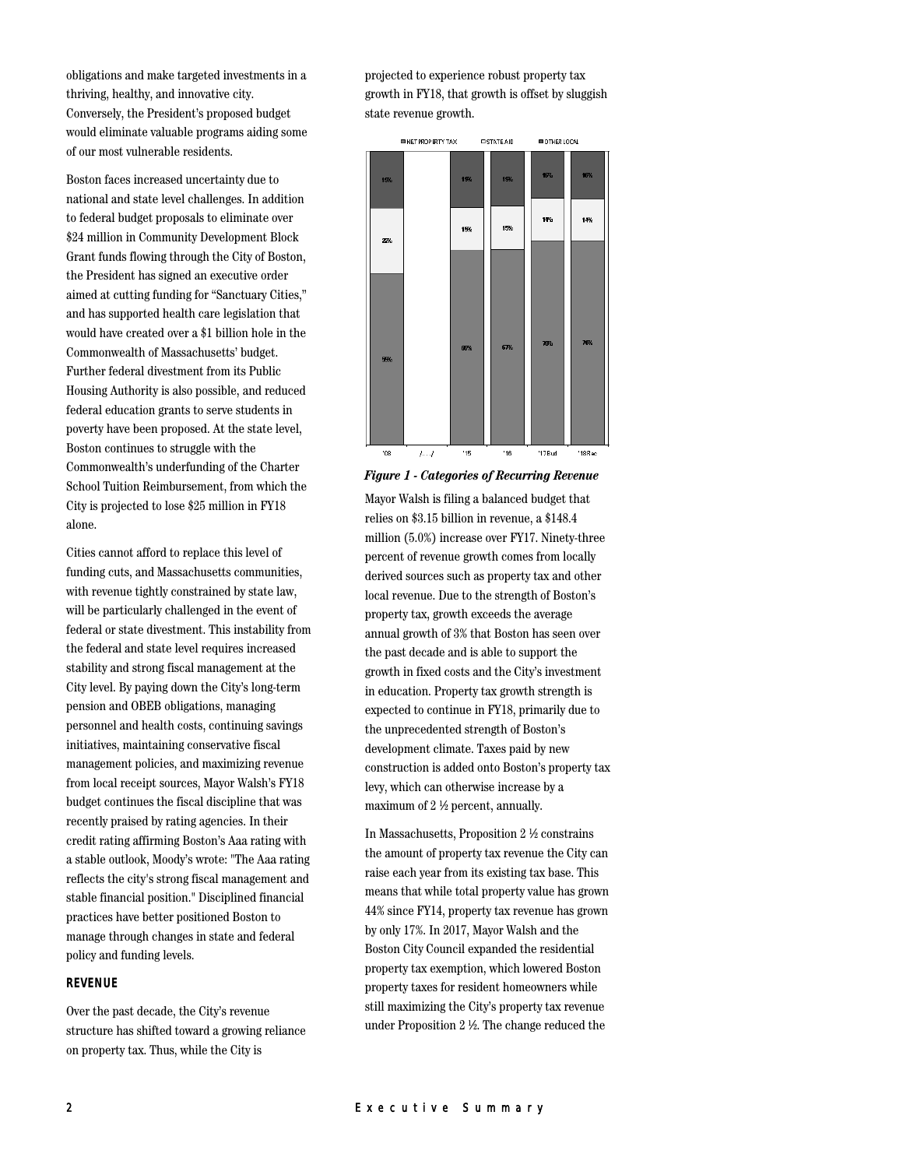obligations and make targeted investments in a thriving, healthy, and innovative city. Conversely, the President's proposed budget would eliminate valuable programs aiding some of our most vulnerable residents.

Boston faces increased uncertainty due to national and state level challenges. In addition to federal budget proposals to eliminate over \$24 million in Community Development Block Grant funds flowing through the City of Boston, the President has signed an executive order aimed at cutting funding for "Sanctuary Cities," and has supported health care legislation that would have created over a \$1 billion hole in the Commonwealth of Massachusetts' budget. Further federal divestment from its Public Housing Authority is also possible, and reduced federal education grants to serve students in poverty have been proposed. At the state level, Boston continues to struggle with the Commonwealth's underfunding of the Charter School Tuition Reimbursement, from which the City is projected to lose \$25 million in FY18 alone.

Cities cannot afford to replace this level of funding cuts, and Massachusetts communities, with revenue tightly constrained by state law, will be particularly challenged in the event of federal or state divestment. This instability from the federal and state level requires increased stability and strong fiscal management at the City level. By paying down the City's long-term pension and OBEB obligations, managing personnel and health costs, continuing savings initiatives, maintaining conservative fiscal management policies, and maximizing revenue from local receipt sources, Mayor Walsh's FY18 budget continues the fiscal discipline that was recently praised by rating agencies. In their credit rating affirming Boston's Aaa rating with a stable outlook, Moody's wrote: "The Aaa rating reflects the city's strong fiscal management and stable financial position." Disciplined financial practices have better positioned Boston to manage through changes in state and federal policy and funding levels.

## **REVENUE**

Over the past decade, the City's revenue structure has shifted toward a growing reliance on property tax. Thus, while the City is

projected to experience robust property tax growth in FY18, that growth is offset by sluggish state revenue growth.



*Figure 1 - Categories of Recurring Revenue*

Mayor Walsh is filing a balanced budget that relies on \$3.15 billion in revenue, a \$148.4 million (5.0%) increase over FY17. Ninety-three percent of revenue growth comes from locally derived sources such as property tax and other local revenue. Due to the strength of Boston's property tax, growth exceeds the average annual growth of 3% that Boston has seen over the past decade and is able to support the growth in fixed costs and the City's investment in education. Property tax growth strength is expected to continue in FY18, primarily due to the unprecedented strength of Boston's development climate. Taxes paid by new construction is added onto Boston's property tax levy, which can otherwise increase by a maximum of 2 ½ percent, annually.

In Massachusetts, Proposition 2 ½ constrains the amount of property tax revenue the City can raise each year from its existing tax base. This means that while total property value has grown 44% since FY14, property tax revenue has grown by only 17%. In 2017, Mayor Walsh and the Boston City Council expanded the residential property tax exemption, which lowered Boston property taxes for resident homeowners while still maximizing the City's property tax revenue under Proposition 2 ½. The change reduced the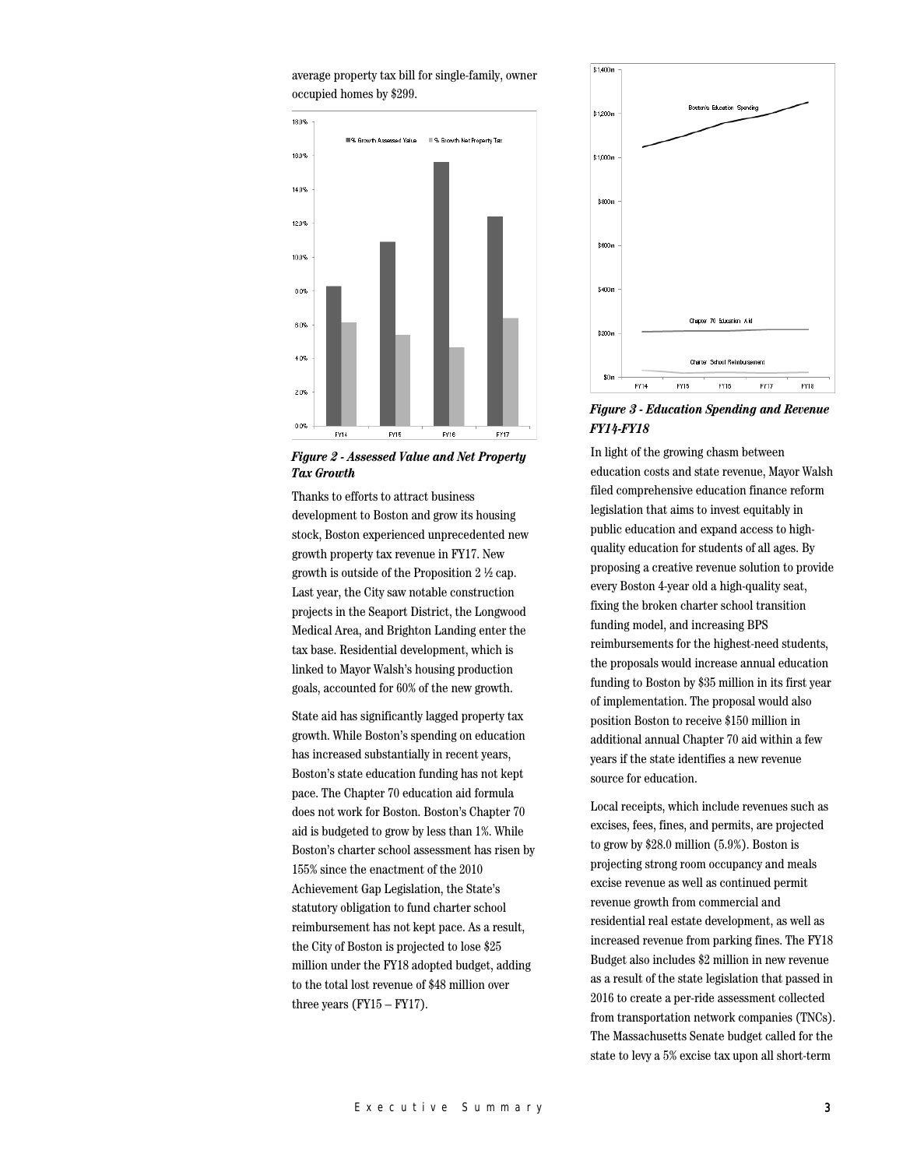average property tax bill for single-family, owner occupied homes by \$299.



*Figure 2 - Assessed Value and Net Property Tax Growth*

Thanks to efforts to attract business development to Boston and grow its housing stock, Boston experienced unprecedented new growth property tax revenue in FY17. New growth is outside of the Proposition 2 ½ cap. Last year, the City saw notable construction projects in the Seaport District, the Longwood Medical Area, and Brighton Landing enter the tax base. Residential development, which is linked to Mayor Walsh's housing production goals, accounted for 60% of the new growth.

State aid has significantly lagged property tax growth. While Boston's spending on education has increased substantially in recent years, Boston's state education funding has not kept pace. The Chapter 70 education aid formula does not work for Boston. Boston's Chapter 70 aid is budgeted to grow by less than 1%. While Boston's charter school assessment has risen by 155% since the enactment of the 2010 Achievement Gap Legislation, the State's statutory obligation to fund charter school reimbursement has not kept pace. As a result, the City of Boston is projected to lose \$25 million under the FY18 adopted budget, adding to the total lost revenue of \$48 million over three years  $(FY15 - FY17)$ .



*Figure 3 - Education Spending and Revenue FY14-FY18*

In light of the growing chasm between education costs and state revenue, Mayor Walsh filed comprehensive education finance reform legislation that aims to invest equitably in public education and expand access to highquality education for students of all ages. By proposing a creative revenue solution to provide every Boston 4-year old a high-quality seat, fixing the broken charter school transition funding model, and increasing BPS reimbursements for the highest-need students, the proposals would increase annual education funding to Boston by \$35 million in its first year of implementation. The proposal would also position Boston to receive \$150 million in additional annual Chapter 70 aid within a few years if the state identifies a new revenue source for education.

Local receipts, which include revenues such as excises, fees, fines, and permits, are projected to grow by \$28.0 million (5.9%). Boston is projecting strong room occupancy and meals excise revenue as well as continued permit revenue growth from commercial and residential real estate development, as well as increased revenue from parking fines. The FY18 Budget also includes \$2 million in new revenue as a result of the state legislation that passed in 2016 to create a per-ride assessment collected from transportation network companies (TNCs). The Massachusetts Senate budget called for the state to levy a 5% excise tax upon all short-term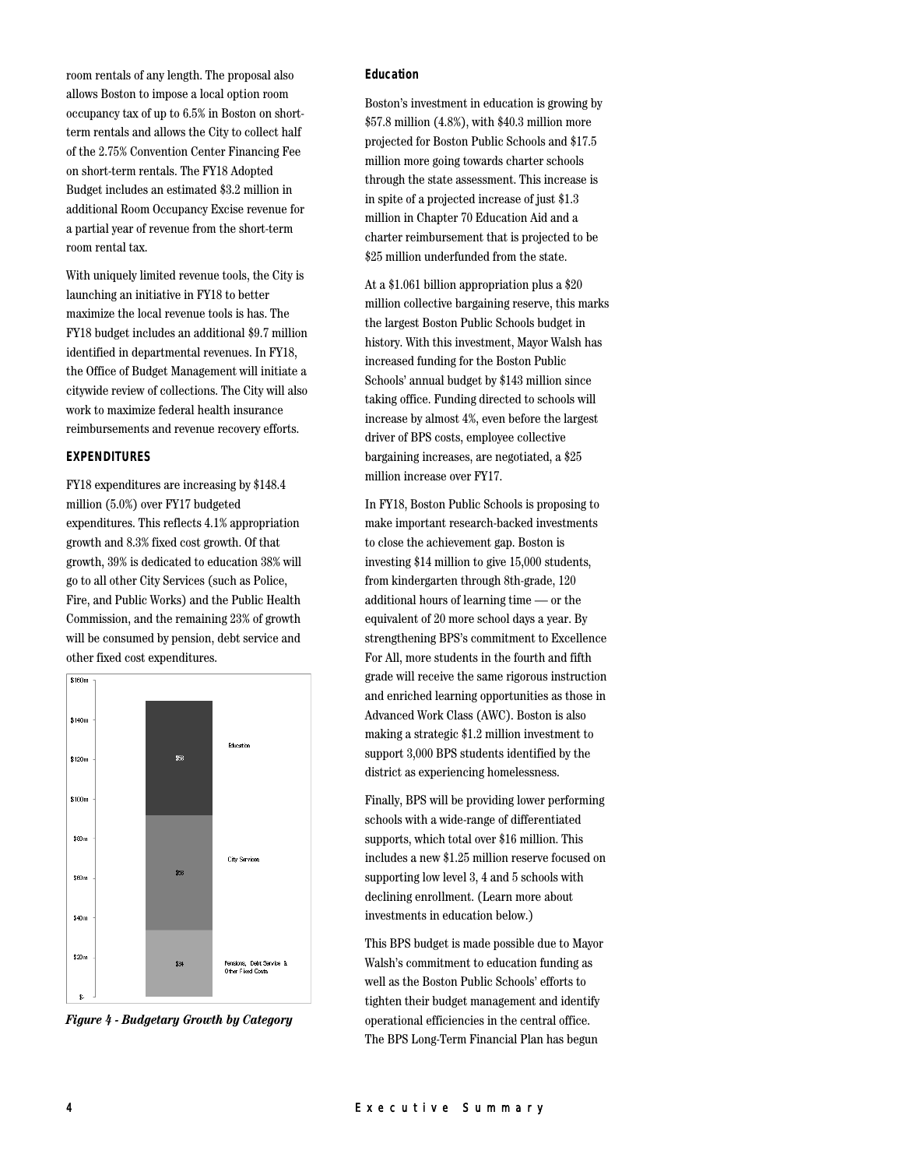room rentals of any length. The proposal also allows Boston to impose a local option room occupancy tax of up to 6.5% in Boston on shortterm rentals and allows the City to collect half of the 2.75% Convention Center Financing Fee on short-term rentals. The FY18 Adopted Budget includes an estimated \$3.2 million in additional Room Occupancy Excise revenue for a partial year of revenue from the short-term room rental tax.

With uniquely limited revenue tools, the City is launching an initiative in FY18 to better maximize the local revenue tools is has. The FY18 budget includes an additional \$9.7 million identified in departmental revenues. In FY18, the Office of Budget Management will initiate a citywide review of collections. The City will also work to maximize federal health insurance reimbursements and revenue recovery efforts.

#### **EXPENDITURES**

FY18 expenditures are increasing by \$148.4 million (5.0%) over FY17 budgeted expenditures. This reflects 4.1% appropriation growth and 8.3% fixed cost growth. Of that growth, 39% is dedicated to education 38% will go to all other City Services (such as Police, Fire, and Public Works) and the Public Health Commission, and the remaining 23% of growth will be consumed by pension, debt service and other fixed cost expenditures.



*Figure 4 - Budgetary Growth by Category*

#### **Education**

Boston's investment in education is growing by \$57.8 million (4.8%), with \$40.3 million more projected for Boston Public Schools and \$17.5 million more going towards charter schools through the state assessment. This increase is in spite of a projected increase of just \$1.3 million in Chapter 70 Education Aid and a charter reimbursement that is projected to be \$25 million underfunded from the state.

At a \$1.061 billion appropriation plus a \$20 million collective bargaining reserve, this marks the largest Boston Public Schools budget in history. With this investment, Mayor Walsh has increased funding for the Boston Public Schools' annual budget by \$143 million since taking office. Funding directed to schools will increase by almost 4%, even before the largest driver of BPS costs, employee collective bargaining increases, are negotiated, a \$25 million increase over FY17.

In FY18, Boston Public Schools is proposing to make important research-backed investments to close the achievement gap. Boston is investing \$14 million to give 15,000 students, from kindergarten through 8th-grade, 120 additional hours of learning time — or the equivalent of 20 more school days a year. By strengthening BPS's commitment to Excellence For All, more students in the fourth and fifth grade will receive the same rigorous instruction and enriched learning opportunities as those in Advanced Work Class (AWC). Boston is also making a strategic \$1.2 million investment to support 3,000 BPS students identified by the district as experiencing homelessness.

Finally, BPS will be providing lower performing schools with a wide-range of differentiated supports, which total over \$16 million. This includes a new \$1.25 million reserve focused on supporting low level 3, 4 and 5 schools with declining enrollment. (Learn more about investments in education below.)

This BPS budget is made possible due to Mayor Walsh's commitment to education funding as well as the Boston Public Schools' efforts to tighten their budget management and identify operational efficiencies in the central office. The BPS Long-Term Financial Plan has begun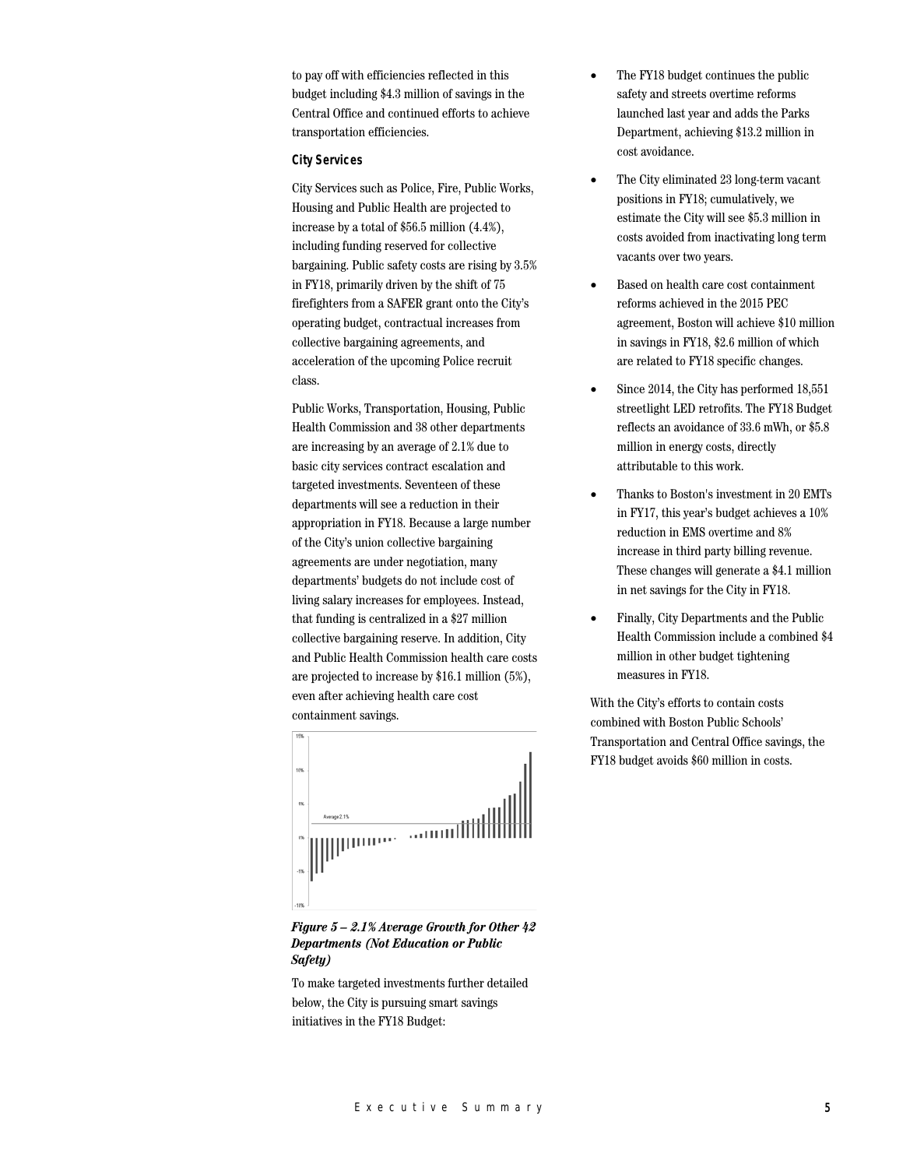to pay off with efficiencies reflected in this budget including \$4.3 million of savings in the Central Office and continued efforts to achieve transportation efficiencies.

#### **City Services**

City Services such as Police, Fire, Public Works, Housing and Public Health are projected to increase by a total of \$56.5 million (4.4%), including funding reserved for collective bargaining. Public safety costs are rising by 3.5% in FY18, primarily driven by the shift of 75 firefighters from a SAFER grant onto the City's operating budget, contractual increases from collective bargaining agreements, and acceleration of the upcoming Police recruit class.

Public Works, Transportation, Housing, Public Health Commission and 38 other departments are increasing by an average of 2.1% due to basic city services contract escalation and targeted investments. Seventeen of these departments will see a reduction in their appropriation in FY18. Because a large number of the City's union collective bargaining agreements are under negotiation, many departments' budgets do not include cost of living salary increases for employees. Instead, that funding is centralized in a \$27 million collective bargaining reserve. In addition, City and Public Health Commission health care costs are projected to increase by \$16.1 million (5%), even after achieving health care cost containment savings.



*Figure 5 – 2.1% Average Growth for Other 42 Departments (Not Education or Public Safety)*

To make targeted investments further detailed below, the City is pursuing smart savings initiatives in the FY18 Budget:

- The FY18 budget continues the public safety and streets overtime reforms launched last year and adds the Parks Department, achieving \$13.2 million in cost avoidance.
- The City eliminated 23 long-term vacant positions in FY18; cumulatively, we estimate the City will see \$5.3 million in costs avoided from inactivating long term vacants over two years.
- Based on health care cost containment reforms achieved in the 2015 PEC agreement, Boston will achieve \$10 million in savings in FY18, \$2.6 million of which are related to FY18 specific changes.
- Since 2014, the City has performed 18,551 streetlight LED retrofits. The FY18 Budget reflects an avoidance of 33.6 mWh, or \$5.8 million in energy costs, directly attributable to this work.
- Thanks to Boston's investment in 20 EMTs in FY17, this year's budget achieves a 10% reduction in EMS overtime and 8% increase in third party billing revenue. These changes will generate a \$4.1 million in net savings for the City in FY18.
- Finally, City Departments and the Public Health Commission include a combined \$4 million in other budget tightening measures in FY18.

With the City's efforts to contain costs combined with Boston Public Schools' Transportation and Central Office savings, the FY18 budget avoids \$60 million in costs.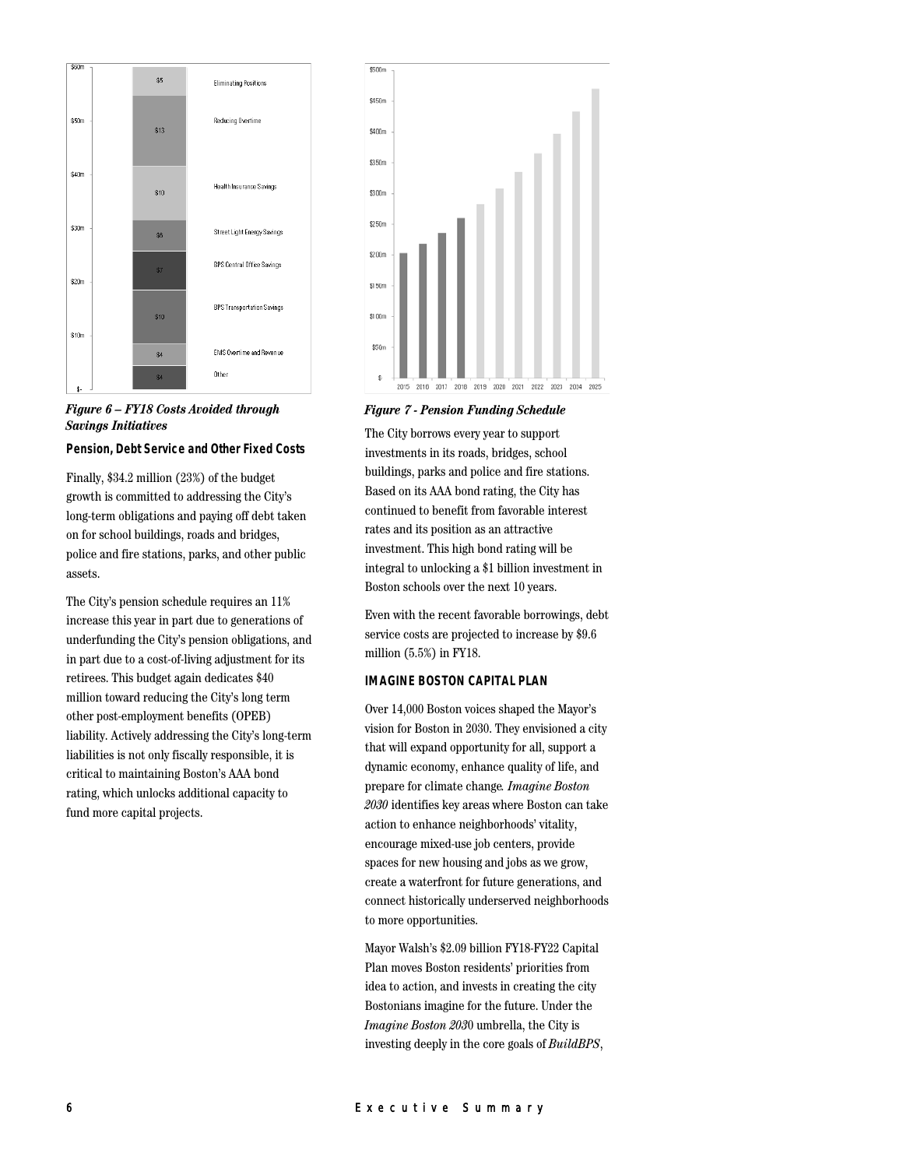



#### **Pension, Debt Service and Other Fixed Costs**

Finally, \$34.2 million (23%) of the budget growth is committed to addressing the City's long-term obligations and paying off debt taken on for school buildings, roads and bridges, police and fire stations, parks, and other public assets.

The City's pension schedule requires an 11% increase this year in part due to generations of underfunding the City's pension obligations, and in part due to a cost-of-living adjustment for its retirees. This budget again dedicates \$40 million toward reducing the City's long term other post-employment benefits (OPEB) liability. Actively addressing the City's long-term liabilities is not only fiscally responsible, it is critical to maintaining Boston's AAA bond rating, which unlocks additional capacity to fund more capital projects.



*Figure 7 - Pension Funding Schedule*

The City borrows every year to support investments in its roads, bridges, school buildings, parks and police and fire stations. Based on its AAA bond rating, the City has continued to benefit from favorable interest rates and its position as an attractive investment. This high bond rating will be integral to unlocking a \$1 billion investment in Boston schools over the next 10 years.

Even with the recent favorable borrowings, debt service costs are projected to increase by \$9.6 million (5.5%) in FY18.

#### **IMAGINE BOSTON CAPITAL PLAN**

Over 14,000 Boston voices shaped the Mayor's vision for Boston in 2030. They envisioned a city that will expand opportunity for all, support a dynamic economy, enhance quality of life, and prepare for climate change*. Imagine Boston 2030* identifies key areas where Boston can take action to enhance neighborhoods' vitality, encourage mixed-use job centers, provide spaces for new housing and jobs as we grow, create a waterfront for future generations, and connect historically underserved neighborhoods to more opportunities.

Mayor Walsh's \$2.09 billion FY18-FY22 Capital Plan moves Boston residents' priorities from idea to action, and invests in creating the city Bostonians imagine for the future. Under the *Imagine Boston 203*0 umbrella, the City is investing deeply in the core goals of *BuildBPS*,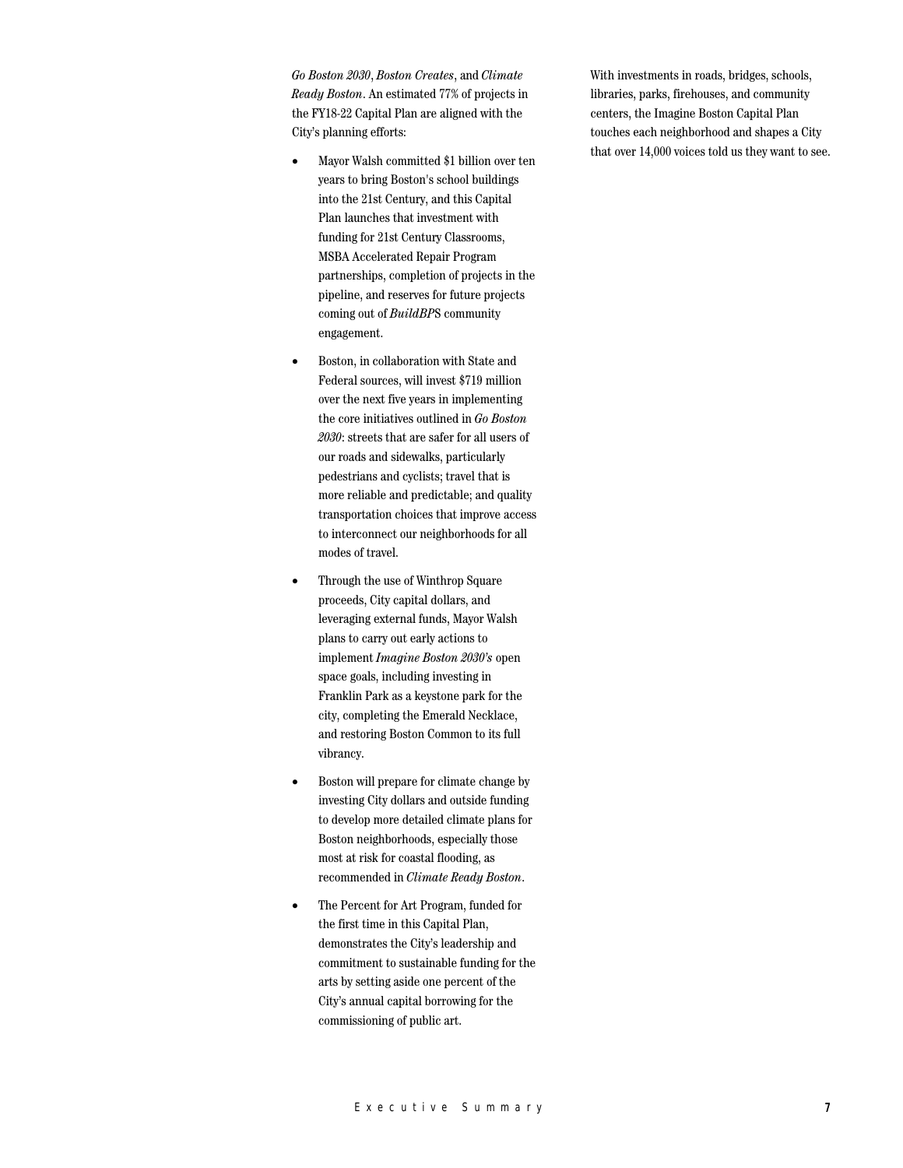*Go Boston 2030*, *Boston Creates*, and *Climate Ready Boston*. An estimated 77% of projects in the FY18-22 Capital Plan are aligned with the City's planning efforts:

- Mayor Walsh committed \$1 billion over ten years to bring Boston's school buildings into the 21st Century, and this Capital Plan launches that investment with funding for 21st Century Classrooms, MSBA Accelerated Repair Program partnerships, completion of projects in the pipeline, and reserves for future projects coming out of *BuildBP*S community engagement.
- Boston, in collaboration with State and Federal sources, will invest \$719 million over the next five years in implementing the core initiatives outlined in *Go Boston 2030*: streets that are safer for all users of our roads and sidewalks, particularly pedestrians and cyclists; travel that is more reliable and predictable; and quality transportation choices that improve access to interconnect our neighborhoods for all modes of travel.
- Through the use of Winthrop Square proceeds, City capital dollars, and leveraging external funds, Mayor Walsh plans to carry out early actions to implement *Imagine Boston 2030's* open space goals, including investing in Franklin Park as a keystone park for the city, completing the Emerald Necklace, and restoring Boston Common to its full vibrancy.
- Boston will prepare for climate change by investing City dollars and outside funding to develop more detailed climate plans for Boston neighborhoods, especially those most at risk for coastal flooding, as recommended in *Climate Ready Boston*.
- The Percent for Art Program, funded for the first time in this Capital Plan, demonstrates the City's leadership and commitment to sustainable funding for the arts by setting aside one percent of the City's annual capital borrowing for the commissioning of public art.

With investments in roads, bridges, schools, libraries, parks, firehouses, and community centers, the Imagine Boston Capital Plan touches each neighborhood and shapes a City that over 14,000 voices told us they want to see.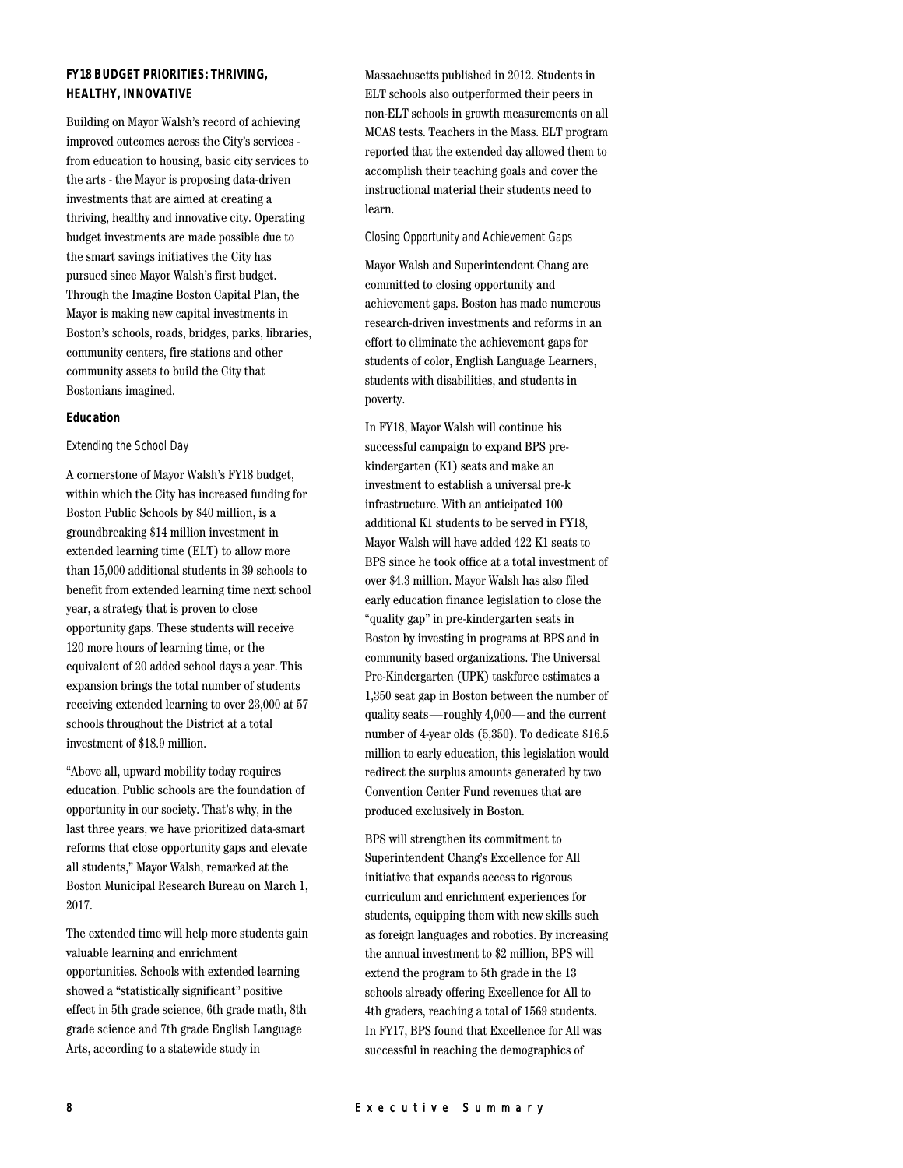# **FY18 BUDGET PRIORITIES: THRIVING, HEALTHY, INNOVATIVE**

Building on Mayor Walsh's record of achieving improved outcomes across the City's services from education to housing, basic city services to the arts - the Mayor is proposing data-driven investments that are aimed at creating a thriving, healthy and innovative city. Operating budget investments are made possible due to the smart savings initiatives the City has pursued since Mayor Walsh's first budget. Through the Imagine Boston Capital Plan, the Mayor is making new capital investments in Boston's schools, roads, bridges, parks, libraries, community centers, fire stations and other community assets to build the City that Bostonians imagined.

## **Education**

## Extending the School Day

A cornerstone of Mayor Walsh's FY18 budget, within which the City has increased funding for Boston Public Schools by \$40 million, is a groundbreaking \$14 million investment in extended learning time (ELT) to allow more than 15,000 additional students in 39 schools to benefit from extended learning time next school year, a strategy that is proven to close opportunity gaps. These students will receive 120 more hours of learning time, or the equivalent of 20 added school days a year. This expansion brings the total number of students receiving extended learning to over 23,000 at 57 schools throughout the District at a total investment of \$18.9 million.

"Above all, upward mobility today requires education. Public schools are the foundation of opportunity in our society. That's why, in the last three years, we have prioritized data-smart reforms that close opportunity gaps and elevate all students," Mayor Walsh, remarked at the Boston Municipal Research Bureau on March 1, 2017.

The extended time will help more students gain valuable learning and enrichment opportunities. Schools with extended learning showed a "statistically significant" positive effect in 5th grade science, 6th grade math, 8th grade science and 7th grade English Language Arts, according to a statewide study in

Massachusetts published in 2012. Students in ELT schools also outperformed their peers in non-ELT schools in growth measurements on all MCAS tests. Teachers in the Mass. ELT program reported that the extended day allowed them to accomplish their teaching goals and cover the instructional material their students need to learn.

## Closing Opportunity and Achievement Gaps

Mayor Walsh and Superintendent Chang are committed to closing opportunity and achievement gaps. Boston has made numerous research-driven investments and reforms in an effort to eliminate the achievement gaps for students of color, English Language Learners, students with disabilities, and students in poverty.

In FY18, Mayor Walsh will continue his successful campaign to expand BPS prekindergarten (K1) seats and make an investment to establish a universal pre-k infrastructure. With an anticipated 100 additional K1 students to be served in FY18, Mayor Walsh will have added 422 K1 seats to BPS since he took office at a total investment of over \$4.3 million. Mayor Walsh has also filed early education finance legislation to close the "quality gap" in pre-kindergarten seats in Boston by investing in programs at BPS and in community based organizations. The Universal Pre-Kindergarten (UPK) taskforce estimates a 1,350 seat gap in Boston between the number of quality seats—roughly 4,000—and the current number of 4-year olds (5,350). To dedicate \$16.5 million to early education, this legislation would redirect the surplus amounts generated by two Convention Center Fund revenues that are produced exclusively in Boston.

BPS will strengthen its commitment to Superintendent Chang's Excellence for All initiative that expands access to rigorous curriculum and enrichment experiences for students, equipping them with new skills such as foreign languages and robotics. By increasing the annual investment to \$2 million, BPS will extend the program to 5th grade in the 13 schools already offering Excellence for All to 4th graders, reaching a total of 1569 students. In FY17, BPS found that Excellence for All was successful in reaching the demographics of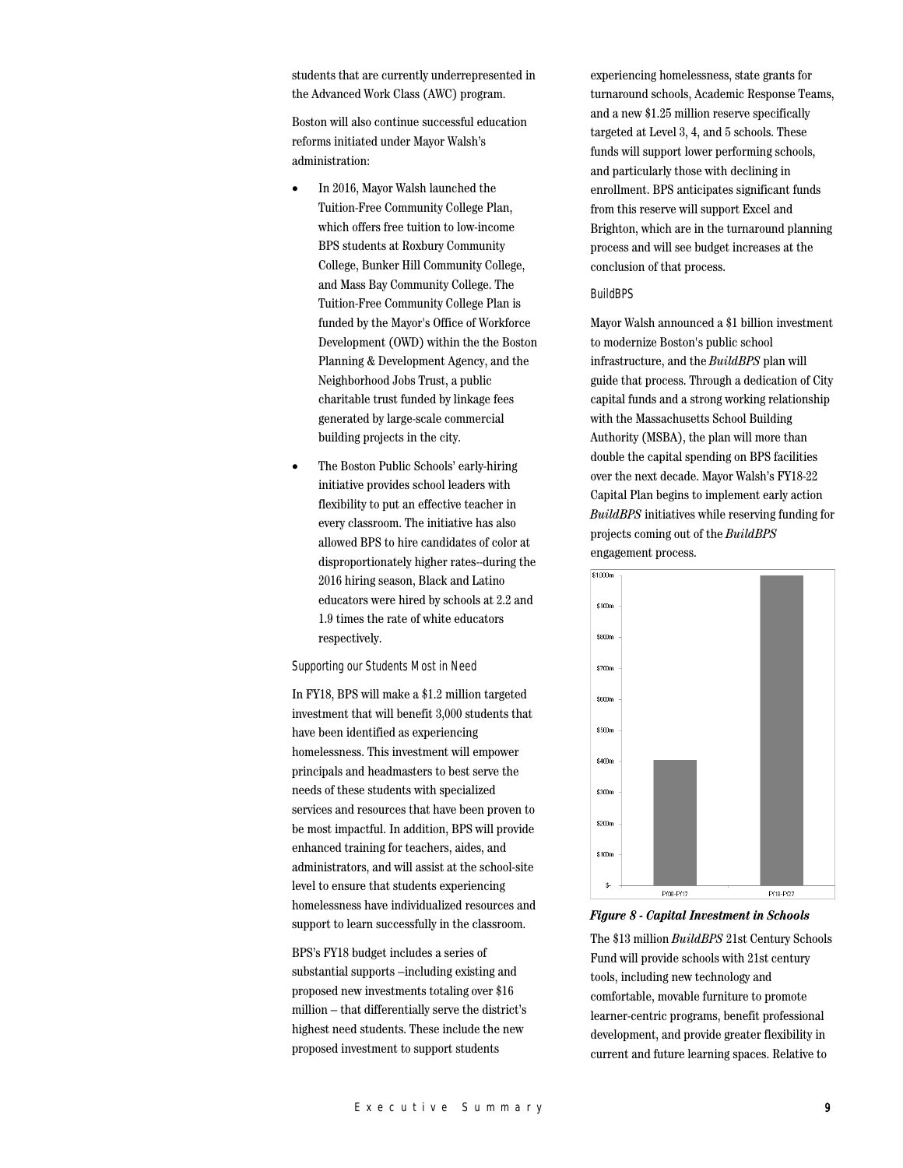students that are currently underrepresented in the Advanced Work Class (AWC) program.

Boston will also continue successful education reforms initiated under Mayor Walsh's administration:

- In 2016, Mayor Walsh launched the Tuition-Free Community College Plan, which offers free tuition to low-income BPS students at Roxbury Community College, Bunker Hill Community College, and Mass Bay Community College. The Tuition-Free Community College Plan is funded by the Mayor's Office of Workforce Development (OWD) within the the Boston Planning & Development Agency, and the Neighborhood Jobs Trust, a public charitable trust funded by linkage fees generated by large-scale commercial building projects in the city.
- The Boston Public Schools' early-hiring initiative provides school leaders with flexibility to put an effective teacher in every classroom. The initiative has also allowed BPS to hire candidates of color at disproportionately higher rates--during the 2016 hiring season, Black and Latino educators were hired by schools at 2.2 and 1.9 times the rate of white educators respectively.

#### Supporting our Students Most in Need

In FY18, BPS will make a \$1.2 million targeted investment that will benefit 3,000 students that have been identified as experiencing homelessness. This investment will empower principals and headmasters to best serve the needs of these students with specialized services and resources that have been proven to be most impactful. In addition, BPS will provide enhanced training for teachers, aides, and administrators, and will assist at the school-site level to ensure that students experiencing homelessness have individualized resources and support to learn successfully in the classroom.

BPS's FY18 budget includes a series of substantial supports –including existing and proposed new investments totaling over \$16 million – that differentially serve the district's highest need students. These include the new proposed investment to support students

experiencing homelessness, state grants for turnaround schools, Academic Response Teams, and a new \$1.25 million reserve specifically targeted at Level 3, 4, and 5 schools. These funds will support lower performing schools, and particularly those with declining in enrollment. BPS anticipates significant funds from this reserve will support Excel and Brighton, which are in the turnaround planning process and will see budget increases at the conclusion of that process.

#### BuildBPS

Mayor Walsh announced a \$1 billion investment to modernize Boston's public school infrastructure, and the *BuildBPS* plan will guide that process. Through a dedication of City capital funds and a strong working relationship with the Massachusetts School Building Authority (MSBA), the plan will more than double the capital spending on BPS facilities over the next decade. Mayor Walsh's FY18-22 Capital Plan begins to implement early action *BuildBPS* initiatives while reserving funding for projects coming out of the *BuildBPS* engagement process.



#### *Figure 8 - Capital Investment in Schools*

The \$13 million *BuildBPS* 21st Century Schools Fund will provide schools with 21st century tools, including new technology and comfortable, movable furniture to promote learner-centric programs, benefit professional development, and provide greater flexibility in current and future learning spaces. Relative to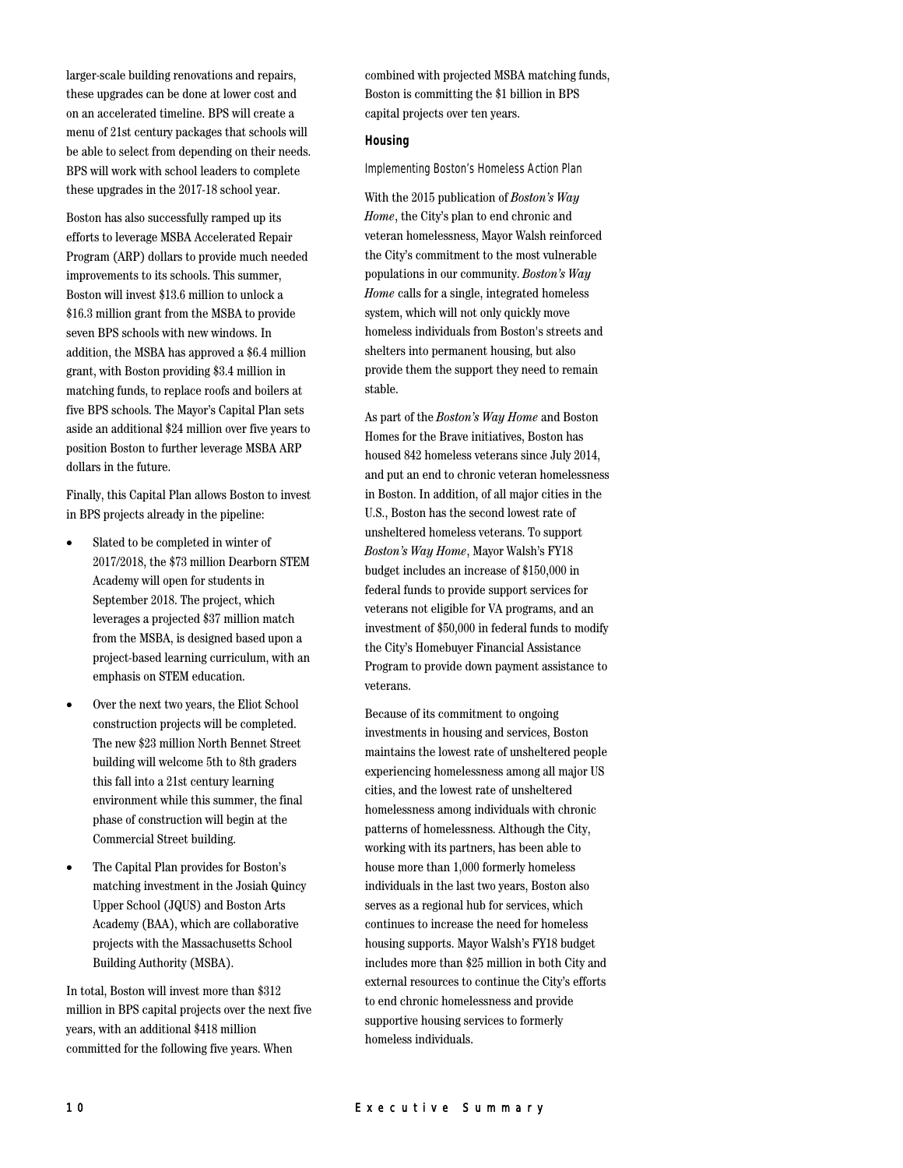larger-scale building renovations and repairs, these upgrades can be done at lower cost and on an accelerated timeline. BPS will create a menu of 21st century packages that schools will be able to select from depending on their needs. BPS will work with school leaders to complete these upgrades in the 2017-18 school year.

Boston has also successfully ramped up its efforts to leverage MSBA Accelerated Repair Program (ARP) dollars to provide much needed improvements to its schools. This summer, Boston will invest \$13.6 million to unlock a \$16.3 million grant from the MSBA to provide seven BPS schools with new windows. In addition, the MSBA has approved a \$6.4 million grant, with Boston providing \$3.4 million in matching funds, to replace roofs and boilers at five BPS schools. The Mayor's Capital Plan sets aside an additional \$24 million over five years to position Boston to further leverage MSBA ARP dollars in the future.

Finally, this Capital Plan allows Boston to invest in BPS projects already in the pipeline:

- Slated to be completed in winter of 2017/2018, the \$73 million Dearborn STEM Academy will open for students in September 2018. The project, which leverages a projected \$37 million match from the MSBA, is designed based upon a project-based learning curriculum, with an emphasis on STEM education.
- Over the next two years, the Eliot School construction projects will be completed. The new \$23 million North Bennet Street building will welcome 5th to 8th graders this fall into a 21st century learning environment while this summer, the final phase of construction will begin at the Commercial Street building.
- The Capital Plan provides for Boston's matching investment in the Josiah Quincy Upper School (JQUS) and Boston Arts Academy (BAA), which are collaborative projects with the Massachusetts School Building Authority (MSBA).

In total, Boston will invest more than \$312 million in BPS capital projects over the next five years, with an additional \$418 million committed for the following five years. When

combined with projected MSBA matching funds, Boston is committing the \$1 billion in BPS capital projects over ten years.

## **Housing**

Implementing Boston's Homeless Action Plan

With the 2015 publication of *Boston's Way Home*, the City's plan to end chronic and veteran homelessness, Mayor Walsh reinforced the City's commitment to the most vulnerable populations in our community. *Boston's Way Home* calls for a single, integrated homeless system, which will not only quickly move homeless individuals from Boston's streets and shelters into permanent housing, but also provide them the support they need to remain stable.

As part of the *Boston's Way Home* and Boston Homes for the Brave initiatives, Boston has housed 842 homeless veterans since July 2014, and put an end to chronic veteran homelessness in Boston. In addition, of all major cities in the U.S., Boston has the second lowest rate of unsheltered homeless veterans. To support *Boston's Way Home*, Mayor Walsh's FY18 budget includes an increase of \$150,000 in federal funds to provide support services for veterans not eligible for VA programs, and an investment of \$50,000 in federal funds to modify the City's Homebuyer Financial Assistance Program to provide down payment assistance to veterans.

Because of its commitment to ongoing investments in housing and services, Boston maintains the lowest rate of unsheltered people experiencing homelessness among all major US cities, and the lowest rate of unsheltered homelessness among individuals with chronic patterns of homelessness. Although the City, working with its partners, has been able to house more than 1,000 formerly homeless individuals in the last two years, Boston also serves as a regional hub for services, which continues to increase the need for homeless housing supports. Mayor Walsh's FY18 budget includes more than \$25 million in both City and external resources to continue the City's efforts to end chronic homelessness and provide supportive housing services to formerly homeless individuals.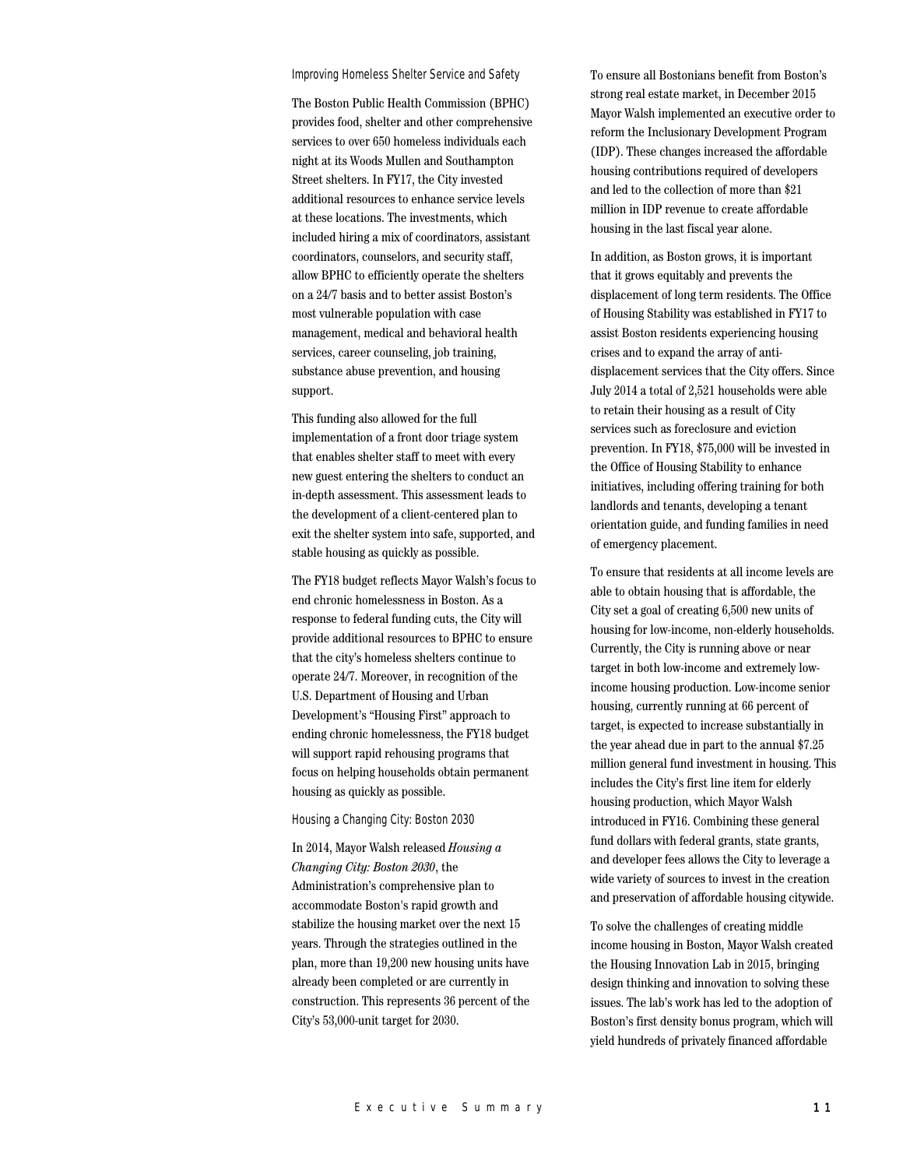#### Improving Homeless Shelter Service and Safety

The Boston Public Health Commission (BPHC) provides food, shelter and other comprehensive services to over 650 homeless individuals each night at its Woods Mullen and Southampton Street shelters. In FY17, the City invested additional resources to enhance service levels at these locations. The investments, which included hiring a mix of coordinators, assistant coordinators, counselors, and security staff, allow BPHC to efficiently operate the shelters on a 24/7 basis and to better assist Boston's most vulnerable population with case management, medical and behavioral health services, career counseling, job training, substance abuse prevention, and housing support.

This funding also allowed for the full implementation of a front door triage system that enables shelter staff to meet with every new guest entering the shelters to conduct an in-depth assessment. This assessment leads to the development of a client-centered plan to exit the shelter system into safe, supported, and stable housing as quickly as possible.

The FY18 budget reflects Mayor Walsh's focus to end chronic homelessness in Boston. As a response to federal funding cuts, the City will provide additional resources to BPHC to ensure that the city's homeless shelters continue to operate 24/7. Moreover, in recognition of the U.S. Department of Housing and Urban Development's "Housing First" approach to ending chronic homelessness, the FY18 budget will support rapid rehousing programs that focus on helping households obtain permanent housing as quickly as possible.

#### Housing a Changing City: Boston 2030

In 2014, Mayor Walsh released *Housing a Changing City: Boston 2030*, the Administration's comprehensive plan to accommodate Boston's rapid growth and stabilize the housing market over the next 15 years. Through the strategies outlined in the plan, more than 19,200 new housing units have already been completed or are currently in construction. This represents 36 percent of the City's 53,000-unit target for 2030.

To ensure all Bostonians benefit from Boston's strong real estate market, in December 2015 Mayor Walsh implemented an executive order to reform the Inclusionary Development Program (IDP). These changes increased the affordable housing contributions required of developers and led to the collection of more than \$21 million in IDP revenue to create affordable housing in the last fiscal year alone.

In addition, as Boston grows, it is important that it grows equitably and prevents the displacement of long term residents. The Office of Housing Stability was established in FY17 to assist Boston residents experiencing housing crises and to expand the array of antidisplacement services that the City offers. Since July 2014 a total of 2,521 households were able to retain their housing as a result of City services such as foreclosure and eviction prevention. In FY18, \$75,000 will be invested in the Office of Housing Stability to enhance initiatives, including offering training for both landlords and tenants, developing a tenant orientation guide, and funding families in need of emergency placement.

To ensure that residents at all income levels are able to obtain housing that is affordable, the City set a goal of creating 6,500 new units of housing for low-income, non-elderly households. Currently, the City is running above or near target in both low-income and extremely lowincome housing production. Low-income senior housing, currently running at 66 percent of target, is expected to increase substantially in the year ahead due in part to the annual \$7.25 million general fund investment in housing. This includes the City's first line item for elderly housing production, which Mayor Walsh introduced in FY16. Combining these general fund dollars with federal grants, state grants, and developer fees allows the City to leverage a wide variety of sources to invest in the creation and preservation of affordable housing citywide.

To solve the challenges of creating middle income housing in Boston, Mayor Walsh created the Housing Innovation Lab in 2015, bringing design thinking and innovation to solving these issues. The lab's work has led to the adoption of Boston's first density bonus program, which will yield hundreds of privately financed affordable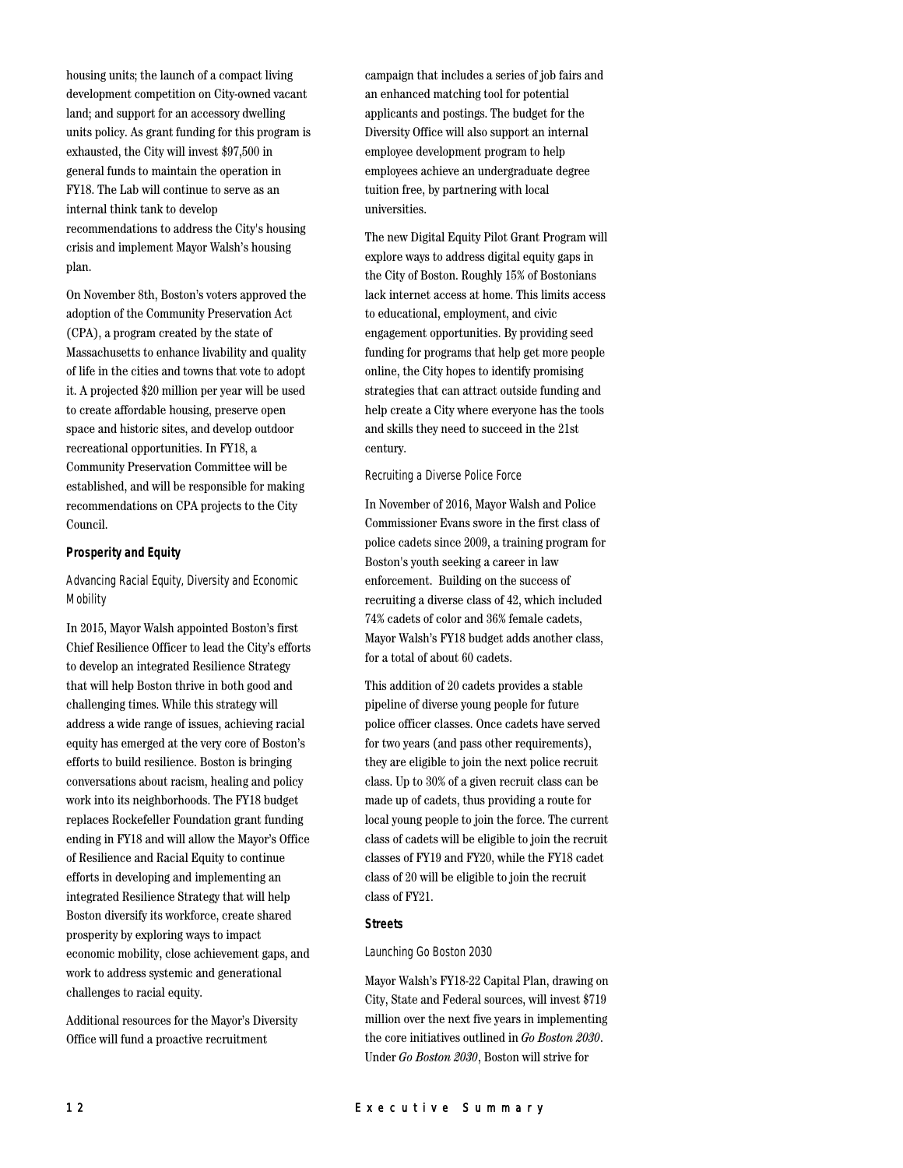housing units; the launch of a compact living development competition on City-owned vacant land; and support for an accessory dwelling units policy. As grant funding for this program is exhausted, the City will invest \$97,500 in general funds to maintain the operation in FY18. The Lab will continue to serve as an internal think tank to develop recommendations to address the City's housing crisis and implement Mayor Walsh's housing plan.

On November 8th, Boston's voters approved the adoption of the Community Preservation Act (CPA), a program created by the state of Massachusetts to enhance livability and quality of life in the cities and towns that vote to adopt it. A projected \$20 million per year will be used to create affordable housing, preserve open space and historic sites, and develop outdoor recreational opportunities. In FY18, a Community Preservation Committee will be established, and will be responsible for making recommendations on CPA projects to the City Council.

## **Prosperity and Equity**

# Advancing Racial Equity, Diversity and Economic **Mobility**

In 2015, Mayor Walsh appointed Boston's first Chief Resilience Officer to lead the City's efforts to develop an integrated Resilience Strategy that will help Boston thrive in both good and challenging times. While this strategy will address a wide range of issues, achieving racial equity has emerged at the very core of Boston's efforts to build resilience. Boston is bringing conversations about racism, healing and policy work into its neighborhoods. The FY18 budget replaces Rockefeller Foundation grant funding ending in FY18 and will allow the Mayor's Office of Resilience and Racial Equity to continue efforts in developing and implementing an integrated Resilience Strategy that will help Boston diversify its workforce, create shared prosperity by exploring ways to impact economic mobility, close achievement gaps, and work to address systemic and generational challenges to racial equity.

Additional resources for the Mayor's Diversity Office will fund a proactive recruitment

campaign that includes a series of job fairs and an enhanced matching tool for potential applicants and postings. The budget for the Diversity Office will also support an internal employee development program to help employees achieve an undergraduate degree tuition free, by partnering with local universities.

The new Digital Equity Pilot Grant Program will explore ways to address digital equity gaps in the City of Boston. Roughly 15% of Bostonians lack internet access at home. This limits access to educational, employment, and civic engagement opportunities. By providing seed funding for programs that help get more people online, the City hopes to identify promising strategies that can attract outside funding and help create a City where everyone has the tools and skills they need to succeed in the 21st century.

#### Recruiting a Diverse Police Force

In November of 2016, Mayor Walsh and Police Commissioner Evans swore in the first class of police cadets since 2009, a training program for Boston's youth seeking a career in law enforcement. Building on the success of recruiting a diverse class of 42, which included 74% cadets of color and 36% female cadets, Mayor Walsh's FY18 budget adds another class, for a total of about 60 cadets.

This addition of 20 cadets provides a stable pipeline of diverse young people for future police officer classes. Once cadets have served for two years (and pass other requirements), they are eligible to join the next police recruit class. Up to 30% of a given recruit class can be made up of cadets, thus providing a route for local young people to join the force. The current class of cadets will be eligible to join the recruit classes of FY19 and FY20, while the FY18 cadet class of 20 will be eligible to join the recruit class of FY21.

#### **Streets**

## Launching Go Boston 2030

Mayor Walsh's FY18-22 Capital Plan, drawing on City, State and Federal sources, will invest \$719 million over the next five years in implementing the core initiatives outlined in *Go Boston 2030*. Under *Go Boston 2030*, Boston will strive for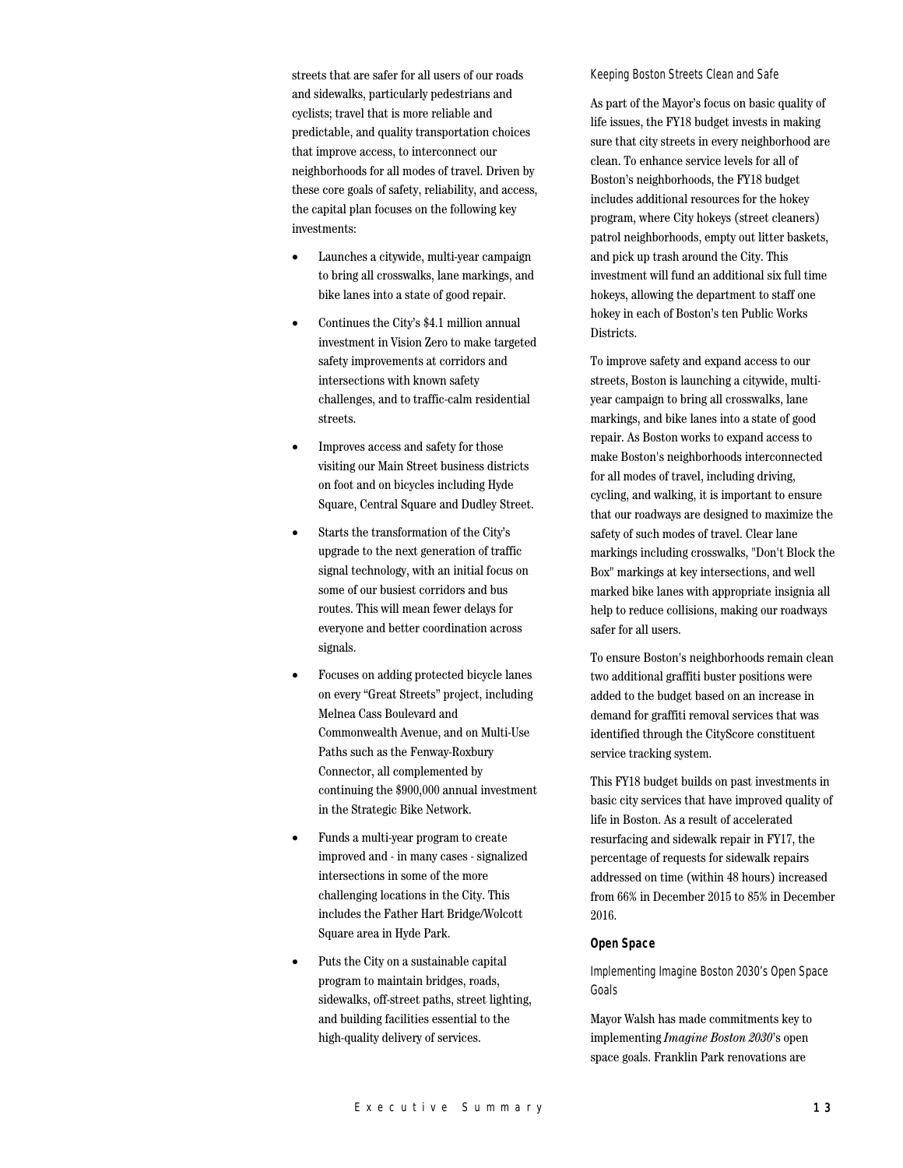streets that are safer for all users of our roads and sidewalks, particularly pedestrians and cyclists; travel that is more reliable and predictable, and quality transportation choices that improve access, to interconnect our neighborhoods for all modes of travel. Driven by these core goals of safety, reliability, and access, the capital plan focuses on the following key investments:

- Launches a citywide, multi-year campaign to bring all crosswalks, lane markings, and bike lanes into a state of good repair.
- Continues the City's \$4.1 million annual investment in Vision Zero to make targeted safety improvements at corridors and intersections with known safety challenges, and to traffic-calm residential streets.
- Improves access and safety for those visiting our Main Street business districts on foot and on bicycles including Hyde Square, Central Square and Dudley Street.
- Starts the transformation of the City's upgrade to the next generation of traffic signal technology, with an initial focus on some of our busiest corridors and bus routes. This will mean fewer delays for everyone and better coordination across signals.
- Focuses on adding protected bicycle lanes on every "Great Streets" project, including Melnea Cass Boulevard and Commonwealth Avenue, and on Multi-Use Paths such as the Fenway-Roxbury Connector, all complemented by continuing the \$900,000 annual investment in the Strategic Bike Network.
- Funds a multi-year program to create improved and - in many cases - signalized intersections in some of the more challenging locations in the City. This includes the Father Hart Bridge/Wolcott Square area in Hyde Park.
- Puts the City on a sustainable capital program to maintain bridges, roads, sidewalks, off-street paths, street lighting, and building facilities essential to the high-quality delivery of services.

#### Keeping Boston Streets Clean and Safe

As part of the Mayor's focus on basic quality of life issues, the FY18 budget invests in making sure that city streets in every neighborhood are clean. To enhance service levels for all of Boston's neighborhoods, the FY18 budget includes additional resources for the hokey program, where City hokeys (street cleaners) patrol neighborhoods, empty out litter baskets, and pick up trash around the City. This investment will fund an additional six full time hokeys, allowing the department to staff one hokey in each of Boston's ten Public Works Districts.

To improve safety and expand access to our streets, Boston is launching a citywide, multiyear campaign to bring all crosswalks, lane markings, and bike lanes into a state of good repair. As Boston works to expand access to make Boston's neighborhoods interconnected for all modes of travel, including driving, cycling, and walking, it is important to ensure that our roadways are designed to maximize the safety of such modes of travel. Clear lane markings including crosswalks, "Don't Block the Box" markings at key intersections, and well marked bike lanes with appropriate insignia all help to reduce collisions, making our roadways safer for all users.

To ensure Boston's neighborhoods remain clean two additional graffiti buster positions were added to the budget based on an increase in demand for graffiti removal services that was identified through the CityScore constituent service tracking system.

This FY18 budget builds on past investments in basic city services that have improved quality of life in Boston. As a result of accelerated resurfacing and sidewalk repair in FY17, the percentage of requests for sidewalk repairs addressed on time (within 48 hours) increased from 66% in December 2015 to 85% in December 2016.

## **Open Space**

Implementing Imagine Boston 2030's Open Space Goals

Mayor Walsh has made commitments key to implementing *Imagine Boston 2030*'s open space goals. Franklin Park renovations are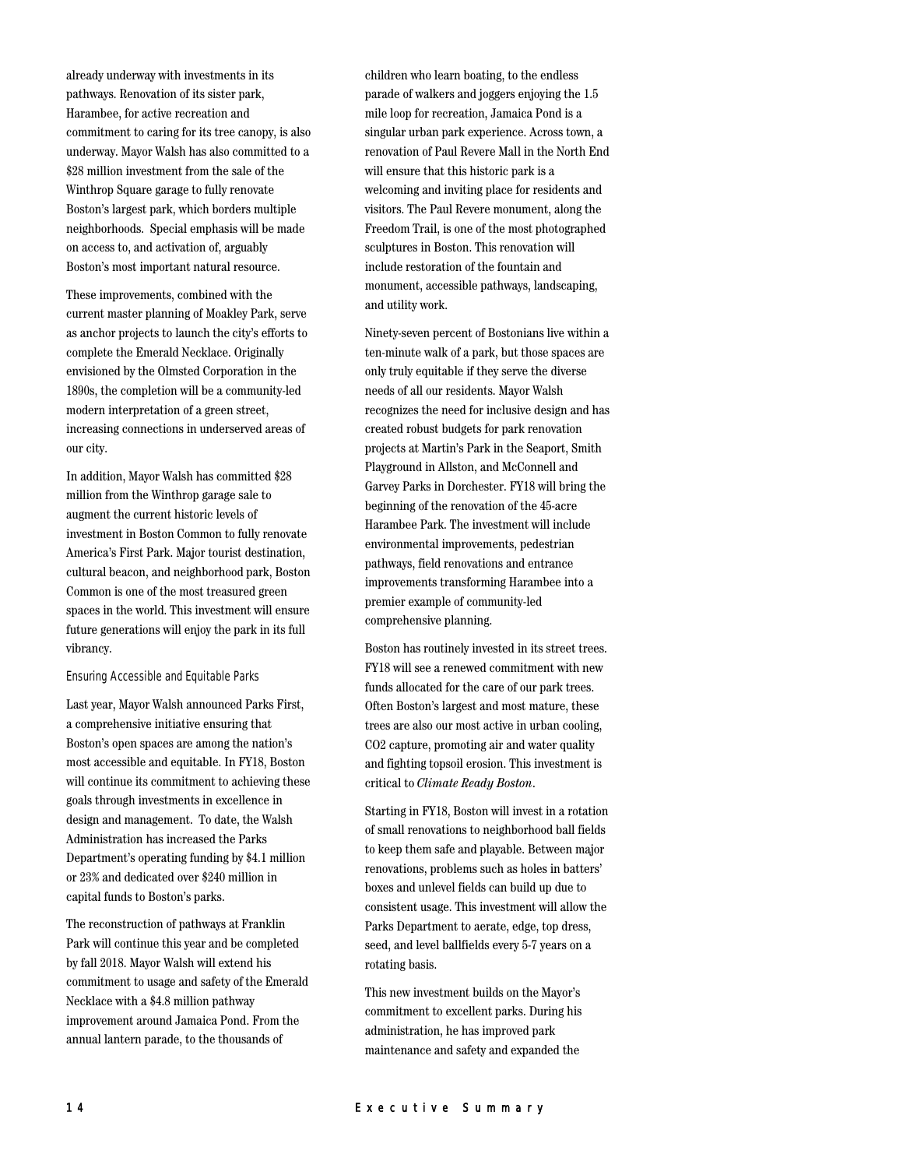already underway with investments in its pathways. Renovation of its sister park, Harambee, for active recreation and commitment to caring for its tree canopy, is also underway. Mayor Walsh has also committed to a \$28 million investment from the sale of the Winthrop Square garage to fully renovate Boston's largest park, which borders multiple neighborhoods. Special emphasis will be made on access to, and activation of, arguably Boston's most important natural resource.

These improvements, combined with the current master planning of Moakley Park, serve as anchor projects to launch the city's efforts to complete the Emerald Necklace. Originally envisioned by the Olmsted Corporation in the 1890s, the completion will be a community-led modern interpretation of a green street, increasing connections in underserved areas of our city.

In addition, Mayor Walsh has committed \$28 million from the Winthrop garage sale to augment the current historic levels of investment in Boston Common to fully renovate America's First Park. Major tourist destination, cultural beacon, and neighborhood park, Boston Common is one of the most treasured green spaces in the world. This investment will ensure future generations will enjoy the park in its full vibrancy.

#### Ensuring Accessible and Equitable Parks

Last year, Mayor Walsh announced Parks First, a comprehensive initiative ensuring that Boston's open spaces are among the nation's most accessible and equitable. In FY18, Boston will continue its commitment to achieving these goals through investments in excellence in design and management. To date, the Walsh Administration has increased the Parks Department's operating funding by \$4.1 million or 23% and dedicated over \$240 million in capital funds to Boston's parks.

The reconstruction of pathways at Franklin Park will continue this year and be completed by fall 2018. Mayor Walsh will extend his commitment to usage and safety of the Emerald Necklace with a \$4.8 million pathway improvement around Jamaica Pond. From the annual lantern parade, to the thousands of

children who learn boating, to the endless parade of walkers and joggers enjoying the 1.5 mile loop for recreation, Jamaica Pond is a singular urban park experience. Across town, a renovation of Paul Revere Mall in the North End will ensure that this historic park is a welcoming and inviting place for residents and visitors. The Paul Revere monument, along the Freedom Trail, is one of the most photographed sculptures in Boston. This renovation will include restoration of the fountain and monument, accessible pathways, landscaping, and utility work.

Ninety-seven percent of Bostonians live within a ten-minute walk of a park, but those spaces are only truly equitable if they serve the diverse needs of all our residents. Mayor Walsh recognizes the need for inclusive design and has created robust budgets for park renovation projects at Martin's Park in the Seaport, Smith Playground in Allston, and McConnell and Garvey Parks in Dorchester. FY18 will bring the beginning of the renovation of the 45-acre Harambee Park. The investment will include environmental improvements, pedestrian pathways, field renovations and entrance improvements transforming Harambee into a premier example of community-led comprehensive planning.

Boston has routinely invested in its street trees. FY18 will see a renewed commitment with new funds allocated for the care of our park trees. Often Boston's largest and most mature, these trees are also our most active in urban cooling, CO2 capture, promoting air and water quality and fighting topsoil erosion. This investment is critical to *Climate Ready Boston*.

Starting in FY18, Boston will invest in a rotation of small renovations to neighborhood ball fields to keep them safe and playable. Between major renovations, problems such as holes in batters' boxes and unlevel fields can build up due to consistent usage. This investment will allow the Parks Department to aerate, edge, top dress, seed, and level ballfields every 5-7 years on a rotating basis.

This new investment builds on the Mayor's commitment to excellent parks. During his administration, he has improved park maintenance and safety and expanded the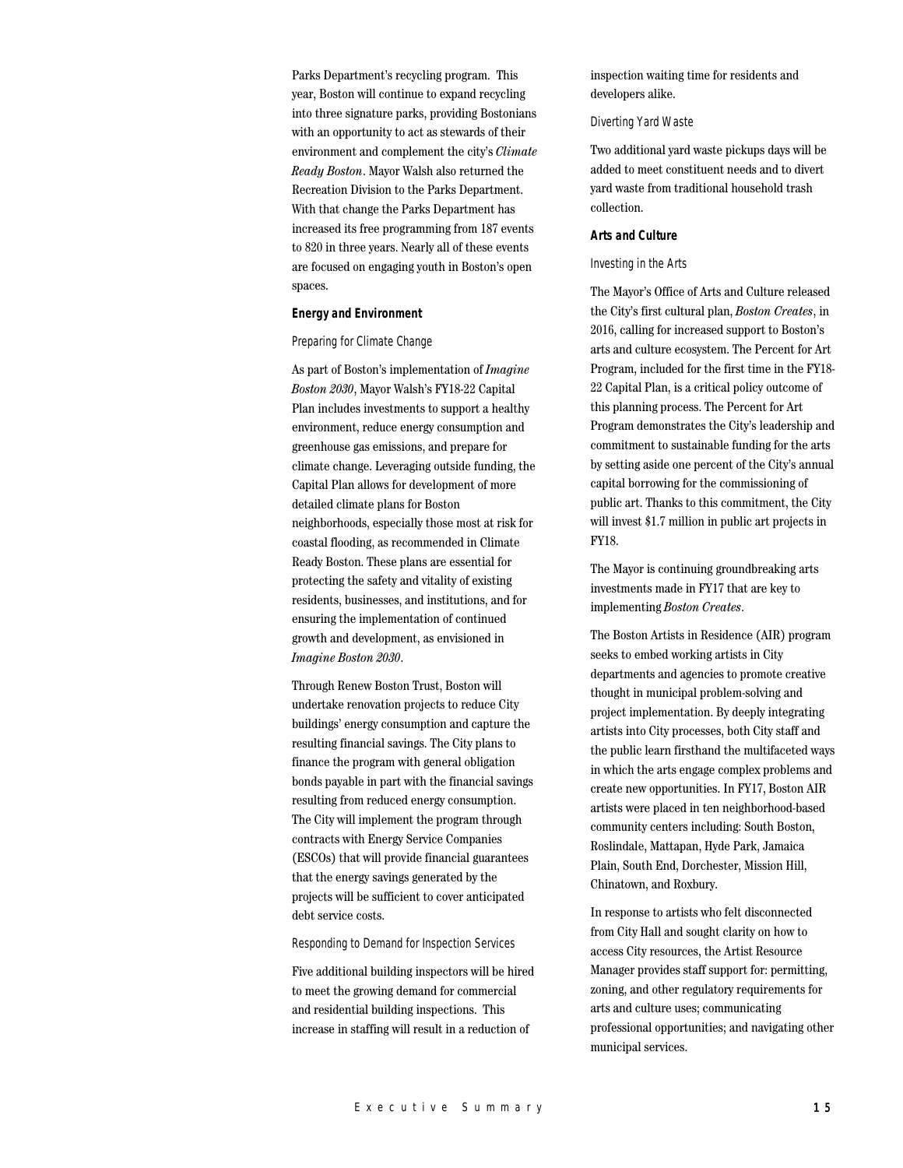Parks Department's recycling program. This year, Boston will continue to expand recycling into three signature parks, providing Bostonians with an opportunity to act as stewards of their environment and complement the city's *Climate Ready Boston*. Mayor Walsh also returned the Recreation Division to the Parks Department. With that change the Parks Department has increased its free programming from 187 events to 820 in three years. Nearly all of these events are focused on engaging youth in Boston's open spaces.

#### **Energy and Environment**

#### Preparing for Climate Change

As part of Boston's implementation of *Imagine Boston 2030*, Mayor Walsh's FY18-22 Capital Plan includes investments to support a healthy environment, reduce energy consumption and greenhouse gas emissions, and prepare for climate change. Leveraging outside funding, the Capital Plan allows for development of more detailed climate plans for Boston neighborhoods, especially those most at risk for coastal flooding, as recommended in Climate Ready Boston. These plans are essential for protecting the safety and vitality of existing residents, businesses, and institutions, and for ensuring the implementation of continued growth and development, as envisioned in *Imagine Boston 2030*.

Through Renew Boston Trust, Boston will undertake renovation projects to reduce City buildings' energy consumption and capture the resulting financial savings. The City plans to finance the program with general obligation bonds payable in part with the financial savings resulting from reduced energy consumption. The City will implement the program through contracts with Energy Service Companies (ESCOs) that will provide financial guarantees that the energy savings generated by the projects will be sufficient to cover anticipated debt service costs.

#### Responding to Demand for Inspection Services

Five additional building inspectors will be hired to meet the growing demand for commercial and residential building inspections. This increase in staffing will result in a reduction of

inspection waiting time for residents and developers alike.

#### Diverting Yard Waste

Two additional yard waste pickups days will be added to meet constituent needs and to divert yard waste from traditional household trash collection.

## **Arts and Culture**

#### Investing in the Arts

The Mayor's Office of Arts and Culture released the City's first cultural plan, *Boston Creates*, in 2016, calling for increased support to Boston's arts and culture ecosystem. The Percent for Art Program, included for the first time in the FY18- 22 Capital Plan, is a critical policy outcome of this planning process. The Percent for Art Program demonstrates the City's leadership and commitment to sustainable funding for the arts by setting aside one percent of the City's annual capital borrowing for the commissioning of public art. Thanks to this commitment, the City will invest \$1.7 million in public art projects in FY18.

The Mayor is continuing groundbreaking arts investments made in FY17 that are key to implementing *Boston Creates*.

The Boston Artists in Residence (AIR) program seeks to embed working artists in City departments and agencies to promote creative thought in municipal problem-solving and project implementation. By deeply integrating artists into City processes, both City staff and the public learn firsthand the multifaceted ways in which the arts engage complex problems and create new opportunities. In FY17, Boston AIR artists were placed in ten neighborhood-based community centers including: South Boston, Roslindale, Mattapan, Hyde Park, Jamaica Plain, South End, Dorchester, Mission Hill, Chinatown, and Roxbury.

In response to artists who felt disconnected from City Hall and sought clarity on how to access City resources, the Artist Resource Manager provides staff support for: permitting, zoning, and other regulatory requirements for arts and culture uses; communicating professional opportunities; and navigating other municipal services.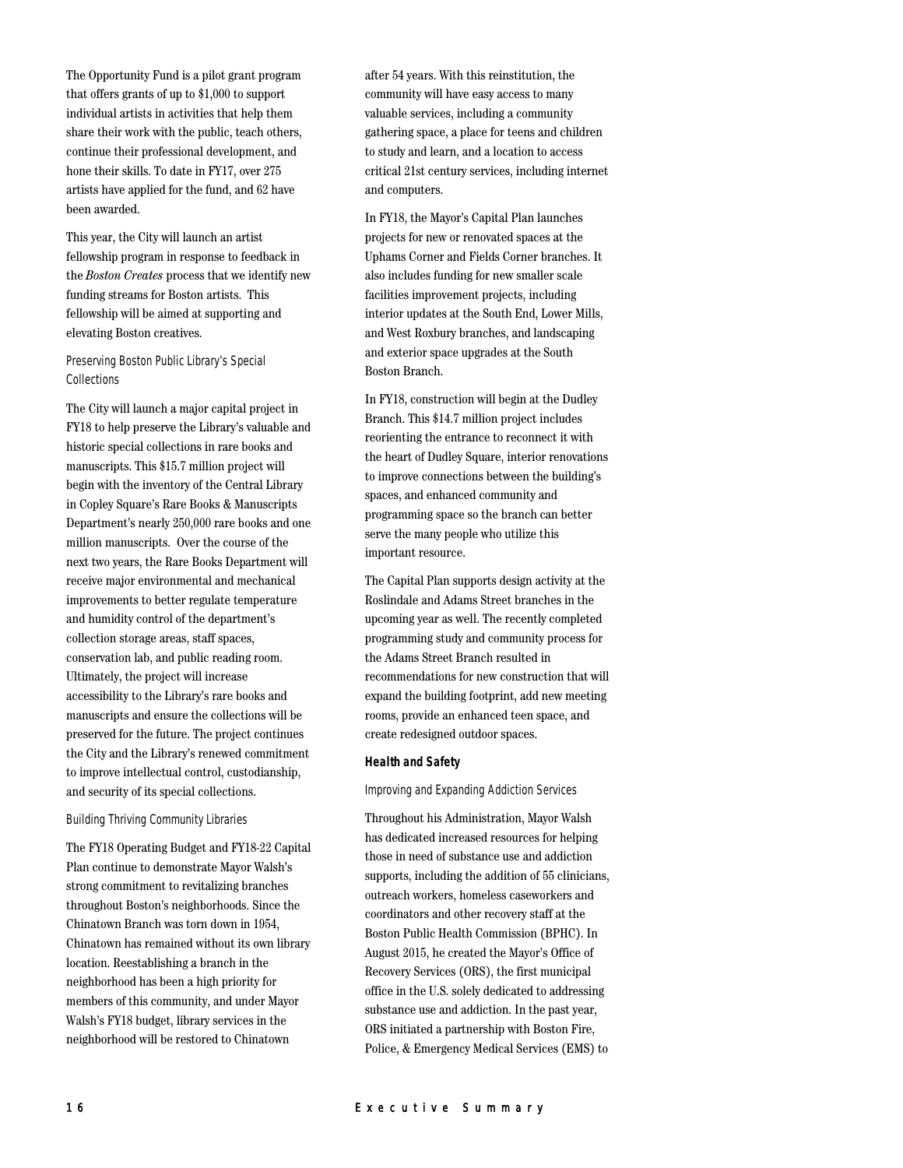The Opportunity Fund is a pilot grant program that offers grants of up to \$1,000 to support individual artists in activities that help them share their work with the public, teach others, continue their professional development, and hone their skills. To date in FY17, over 275 artists have applied for the fund, and 62 have been awarded.

This year, the City will launch an artist fellowship program in response to feedback in the *Boston Creates* process that we identify new funding streams for Boston artists. This fellowship will be aimed at supporting and elevating Boston creatives.

Preserving Boston Public Library's Special Collections

The City will launch a major capital project in FY18 to help preserve the Library's valuable and historic special collections in rare books and manuscripts. This \$15.7 million project will begin with the inventory of the Central Library in Copley Square's Rare Books & Manuscripts Department's nearly 250,000 rare books and one million manuscripts. Over the course of the next two years, the Rare Books Department will receive major environmental and mechanical improvements to better regulate temperature and humidity control of the department's collection storage areas, staff spaces, conservation lab, and public reading room. Ultimately, the project will increase accessibility to the Library's rare books and manuscripts and ensure the collections will be preserved for the future. The project continues the City and the Library's renewed commitment to improve intellectual control, custodianship, and security of its special collections.

#### Building Thriving Community Libraries

The FY18 Operating Budget and FY18-22 Capital Plan continue to demonstrate Mayor Walsh's strong commitment to revitalizing branches throughout Boston's neighborhoods. Since the Chinatown Branch was torn down in 1954, Chinatown has remained without its own library location. Reestablishing a branch in the neighborhood has been a high priority for members of this community, and under Mayor Walsh's FY18 budget, library services in the neighborhood will be restored to Chinatown

after 54 years. With this reinstitution, the community will have easy access to many valuable services, including a community gathering space, a place for teens and children to study and learn, and a location to access critical 21st century services, including internet and computers.

In FY18, the Mayor's Capital Plan launches projects for new or renovated spaces at the Uphams Corner and Fields Corner branches. It also includes funding for new smaller scale facilities improvement projects, including interior updates at the South End, Lower Mills, and West Roxbury branches, and landscaping and exterior space upgrades at the South Boston Branch.

In FY18, construction will begin at the Dudley Branch. This \$14.7 million project includes reorienting the entrance to reconnect it with the heart of Dudley Square, interior renovations to improve connections between the building's spaces, and enhanced community and programming space so the branch can better serve the many people who utilize this important resource.

The Capital Plan supports design activity at the Roslindale and Adams Street branches in the upcoming year as well. The recently completed programming study and community process for the Adams Street Branch resulted in recommendations for new construction that will expand the building footprint, add new meeting rooms, provide an enhanced teen space, and create redesigned outdoor spaces.

## **Health and Safety**

Improving and Expanding Addiction Services

Throughout his Administration, Mayor Walsh has dedicated increased resources for helping those in need of substance use and addiction supports, including the addition of 55 clinicians, outreach workers, homeless caseworkers and coordinators and other recovery staff at the Boston Public Health Commission (BPHC). In August 2015, he created the Mayor's Office of Recovery Services (ORS), the first municipal office in the U.S. solely dedicated to addressing substance use and addiction. In the past year, ORS initiated a partnership with Boston Fire, Police, & Emergency Medical Services (EMS) to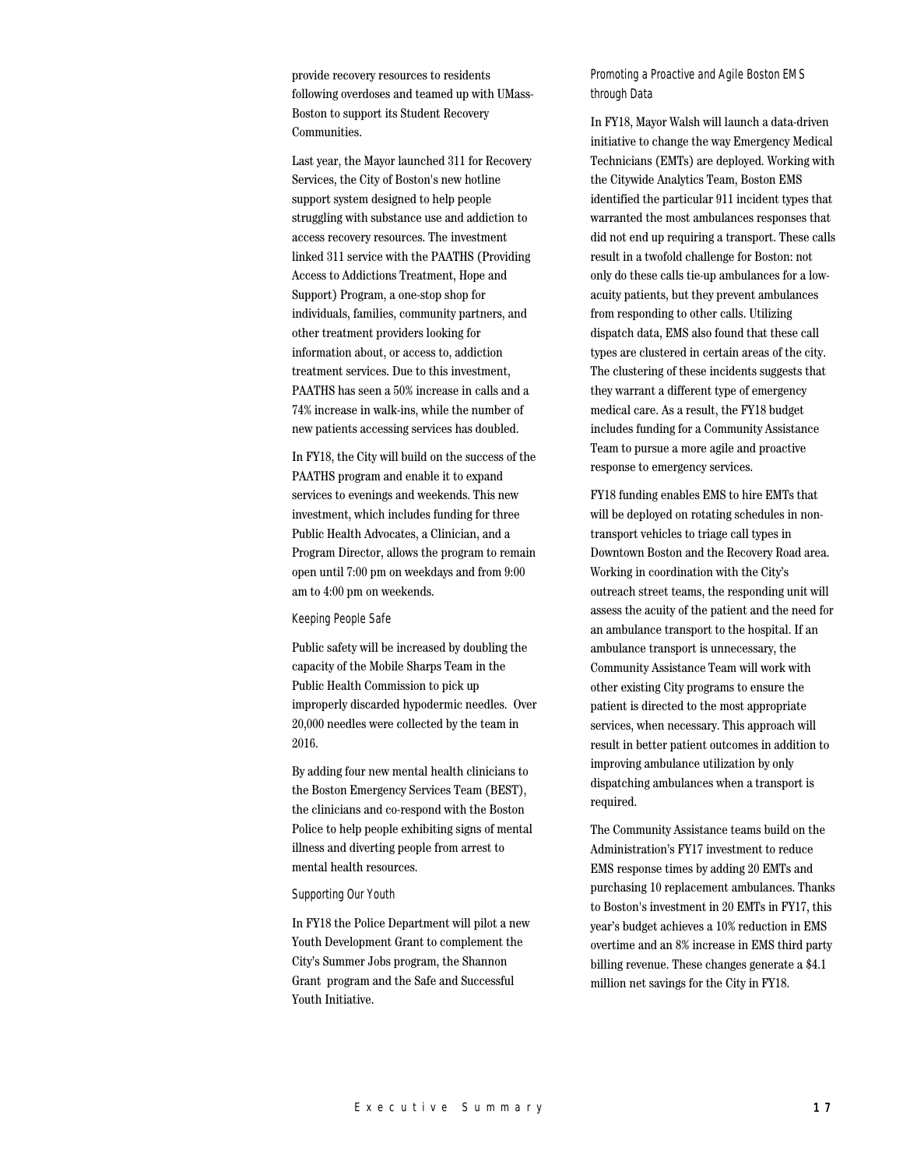provide recovery resources to residents following overdoses and teamed up with UMass-Boston to support its Student Recovery Communities.

Last year, the Mayor launched 311 for Recovery Services, the City of Boston's new hotline support system designed to help people struggling with substance use and addiction to access recovery resources. The investment linked 311 service with the PAATHS (Providing Access to Addictions Treatment, Hope and Support) Program, a one-stop shop for individuals, families, community partners, and other treatment providers looking for information about, or access to, addiction treatment services. Due to this investment, PAATHS has seen a 50% increase in calls and a 74% increase in walk-ins, while the number of new patients accessing services has doubled.

In FY18, the City will build on the success of the PAATHS program and enable it to expand services to evenings and weekends. This new investment, which includes funding for three Public Health Advocates, a Clinician, and a Program Director, allows the program to remain open until 7:00 pm on weekdays and from 9:00 am to 4:00 pm on weekends.

#### Keeping People Safe

Public safety will be increased by doubling the capacity of the Mobile Sharps Team in the Public Health Commission to pick up improperly discarded hypodermic needles. Over 20,000 needles were collected by the team in 2016.

By adding four new mental health clinicians to the Boston Emergency Services Team (BEST), the clinicians and co-respond with the Boston Police to help people exhibiting signs of mental illness and diverting people from arrest to mental health resources.

#### Supporting Our Youth

In FY18 the Police Department will pilot a new Youth Development Grant to complement the City's Summer Jobs program, the Shannon Grant program and the Safe and Successful Youth Initiative.

Promoting a Proactive and Agile Boston EMS through Data

In FY18, Mayor Walsh will launch a data-driven initiative to change the way Emergency Medical Technicians (EMTs) are deployed. Working with the Citywide Analytics Team, Boston EMS identified the particular 911 incident types that warranted the most ambulances responses that did not end up requiring a transport. These calls result in a twofold challenge for Boston: not only do these calls tie-up ambulances for a lowacuity patients, but they prevent ambulances from responding to other calls. Utilizing dispatch data, EMS also found that these call types are clustered in certain areas of the city. The clustering of these incidents suggests that they warrant a different type of emergency medical care. As a result, the FY18 budget includes funding for a Community Assistance Team to pursue a more agile and proactive response to emergency services.

FY18 funding enables EMS to hire EMTs that will be deployed on rotating schedules in nontransport vehicles to triage call types in Downtown Boston and the Recovery Road area. Working in coordination with the City's outreach street teams, the responding unit will assess the acuity of the patient and the need for an ambulance transport to the hospital. If an ambulance transport is unnecessary, the Community Assistance Team will work with other existing City programs to ensure the patient is directed to the most appropriate services, when necessary. This approach will result in better patient outcomes in addition to improving ambulance utilization by only dispatching ambulances when a transport is required.

The Community Assistance teams build on the Administration's FY17 investment to reduce EMS response times by adding 20 EMTs and purchasing 10 replacement ambulances. Thanks to Boston's investment in 20 EMTs in FY17, this year's budget achieves a 10% reduction in EMS overtime and an 8% increase in EMS third party billing revenue. These changes generate a \$4.1 million net savings for the City in FY18.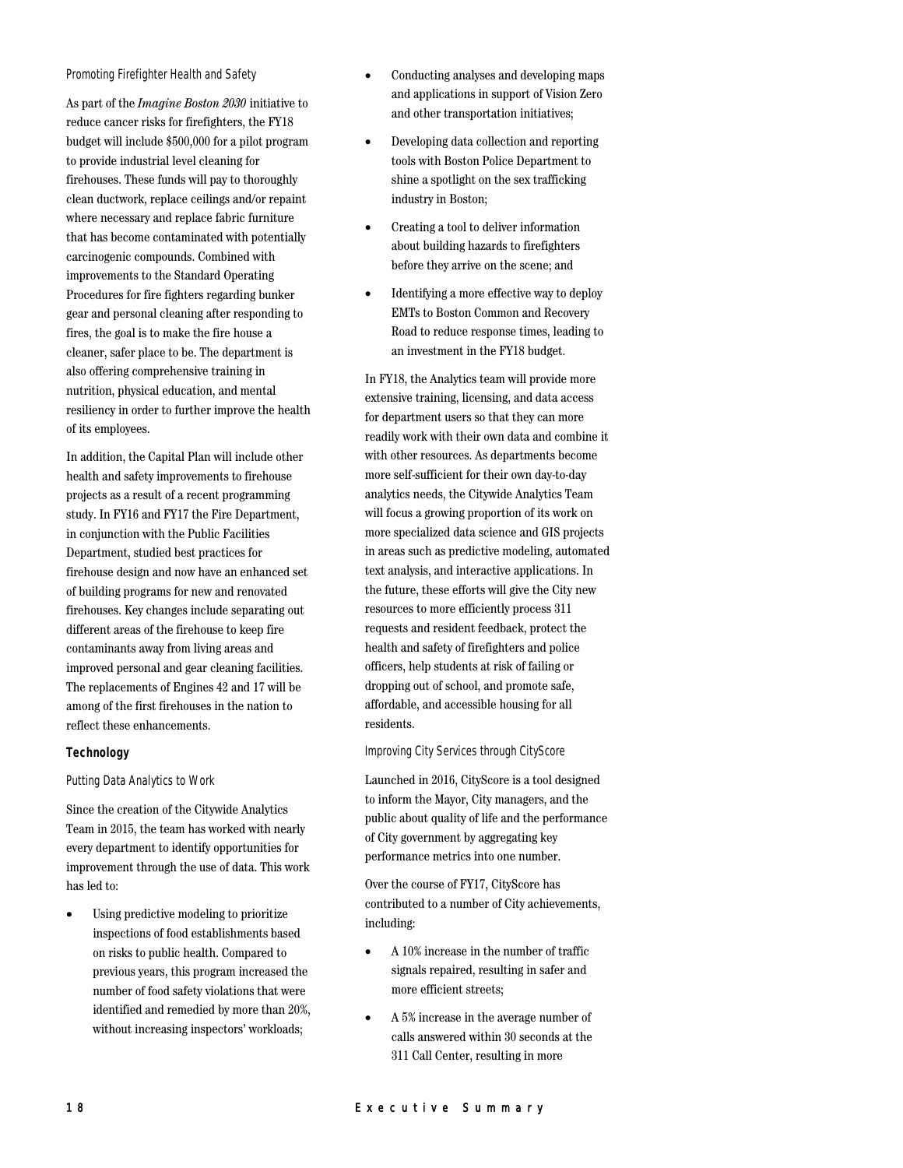#### Promoting Firefighter Health and Safety

As part of the *Imagine Boston 2030* initiative to reduce cancer risks for firefighters, the FY18 budget will include \$500,000 for a pilot program to provide industrial level cleaning for firehouses. These funds will pay to thoroughly clean ductwork, replace ceilings and/or repaint where necessary and replace fabric furniture that has become contaminated with potentially carcinogenic compounds. Combined with improvements to the Standard Operating Procedures for fire fighters regarding bunker gear and personal cleaning after responding to fires, the goal is to make the fire house a cleaner, safer place to be. The department is also offering comprehensive training in nutrition, physical education, and mental resiliency in order to further improve the health of its employees.

In addition, the Capital Plan will include other health and safety improvements to firehouse projects as a result of a recent programming study. In FY16 and FY17 the Fire Department, in conjunction with the Public Facilities Department, studied best practices for firehouse design and now have an enhanced set of building programs for new and renovated firehouses. Key changes include separating out different areas of the firehouse to keep fire contaminants away from living areas and improved personal and gear cleaning facilities. The replacements of Engines 42 and 17 will be among of the first firehouses in the nation to reflect these enhancements.

#### **Technology**

#### Putting Data Analytics to Work

Since the creation of the Citywide Analytics Team in 2015, the team has worked with nearly every department to identify opportunities for improvement through the use of data. This work has led to:

• Using predictive modeling to prioritize inspections of food establishments based on risks to public health. Compared to previous years, this program increased the number of food safety violations that were identified and remedied by more than 20%, without increasing inspectors' workloads;

- Conducting analyses and developing maps and applications in support of Vision Zero and other transportation initiatives;
- Developing data collection and reporting tools with Boston Police Department to shine a spotlight on the sex trafficking industry in Boston;
- Creating a tool to deliver information about building hazards to firefighters before they arrive on the scene; and
- Identifying a more effective way to deploy EMTs to Boston Common and Recovery Road to reduce response times, leading to an investment in the FY18 budget.

In FY18, the Analytics team will provide more extensive training, licensing, and data access for department users so that they can more readily work with their own data and combine it with other resources. As departments become more self-sufficient for their own day-to-day analytics needs, the Citywide Analytics Team will focus a growing proportion of its work on more specialized data science and GIS projects in areas such as predictive modeling, automated text analysis, and interactive applications. In the future, these efforts will give the City new resources to more efficiently process 311 requests and resident feedback, protect the health and safety of firefighters and police officers, help students at risk of failing or dropping out of school, and promote safe, affordable, and accessible housing for all residents.

#### Improving City Services through CityScore

Launched in 2016, CityScore is a tool designed to inform the Mayor, City managers, and the public about quality of life and the performance of City government by aggregating key performance metrics into one number.

Over the course of FY17, CityScore has contributed to a number of City achievements, including:

- A 10% increase in the number of traffic signals repaired, resulting in safer and more efficient streets;
- A 5% increase in the average number of calls answered within 30 seconds at the 311 Call Center, resulting in more